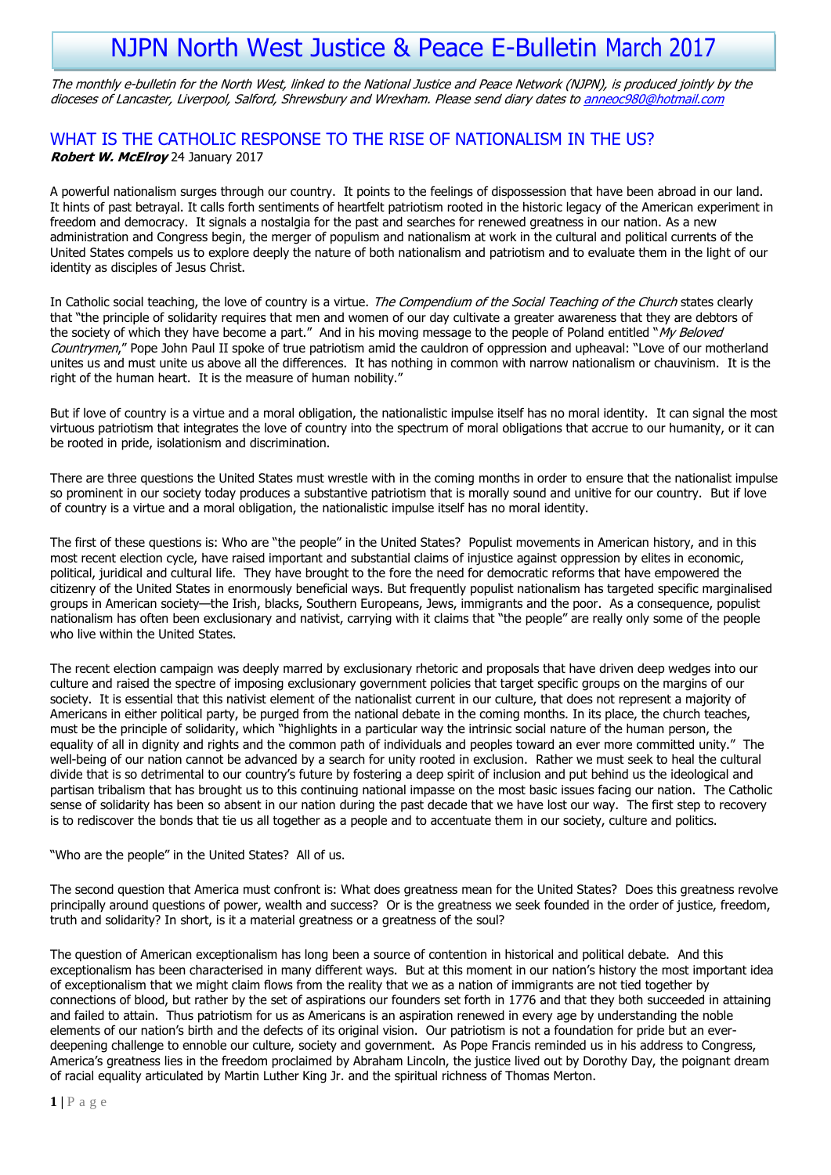# NJPN North West Justice & Peace E-Bulletin March 2017

The monthly e-bulletin for the North West, linked to the National Justice and Peace Network (NJPN), is produced jointly by the dioceses of Lancaster, Liverpool, Salford, Shrewsbury and Wrexham. Please send diary dates to [anneoc980@hotmail.com](mailto:anneoc980@hotmail.com) 

#### WHAT IS THE CATHOLIC RESPONSE TO THE RISE OF NATIONALISM IN THE US? **Robert W. McElroy** 24 January 2017

A powerful nationalism surges through our country. It points to the feelings of dispossession that have been abroad in our land. It hints of past betrayal. It calls forth sentiments of heartfelt patriotism rooted in the historic legacy of the American experiment in freedom and democracy. It signals a nostalgia for the past and searches for renewed greatness in our nation. As a new administration and Congress begin, the merger of populism and nationalism at work in the cultural and political currents of the United States compels us to explore deeply the nature of both nationalism and patriotism and to evaluate them in the light of our identity as disciples of Jesus Christ.

In Catholic social teaching, the love of country is a virtue. The Compendium of the Social Teaching of the Church states clearly that "the principle of solidarity requires that men and women of our day cultivate a greater awareness that they are debtors of the society of which they have become a part." And in his moving message to the people of Poland entitled "My Beloved" Countrymen," Pope John Paul II spoke of true patriotism amid the cauldron of oppression and upheaval: "Love of our motherland unites us and must unite us above all the differences. It has nothing in common with narrow nationalism or chauvinism. It is the right of the human heart. It is the measure of human nobility."

But if love of country is a virtue and a moral obligation, the nationalistic impulse itself has no moral identity. It can signal the most virtuous patriotism that integrates the love of country into the spectrum of moral obligations that accrue to our humanity, or it can be rooted in pride, isolationism and discrimination.

There are three questions the United States must wrestle with in the coming months in order to ensure that the nationalist impulse so prominent in our society today produces a substantive patriotism that is morally sound and unitive for our country. But if love of country is a virtue and a moral obligation, the nationalistic impulse itself has no moral identity.

The first of these questions is: Who are "the people" in the United States? Populist movements in American history, and in this most recent election cycle, have raised important and substantial claims of injustice against oppression by elites in economic, political, juridical and cultural life. They have brought to the fore the need for democratic reforms that have empowered the citizenry of the United States in enormously beneficial ways. But frequently populist nationalism has targeted specific marginalised groups in American society—the Irish, blacks, Southern Europeans, Jews, immigrants and the poor. As a consequence, populist nationalism has often been exclusionary and nativist, carrying with it claims that "the people" are really only some of the people who live within the United States.

The recent election campaign was deeply marred by exclusionary rhetoric and proposals that have driven deep wedges into our culture and raised the spectre of imposing exclusionary government policies that target specific groups on the margins of our society. It is essential that this nativist element of the nationalist current in our culture, that does not represent a majority of Americans in either political party, be purged from the national debate in the coming months. In its place, the church teaches, must be the principle of solidarity, which "highlights in a particular way the intrinsic social nature of the human person, the equality of all in dignity and rights and the common path of individuals and peoples toward an ever more committed unity." The well-being of our nation cannot be advanced by a search for unity rooted in exclusion. Rather we must seek to heal the cultural divide that is so detrimental to our country's future by fostering a deep spirit of inclusion and put behind us the ideological and partisan tribalism that has brought us to this continuing national impasse on the most basic issues facing our nation. The Catholic sense of solidarity has been so absent in our nation during the past decade that we have lost our way. The first step to recovery is to rediscover the bonds that tie us all together as a people and to accentuate them in our society, culture and politics.

"Who are the people" in the United States? All of us.

The second question that America must confront is: What does greatness mean for the United States? Does this greatness revolve principally around questions of power, wealth and success? Or is the greatness we seek founded in the order of justice, freedom, truth and solidarity? In short, is it a material greatness or a greatness of the soul?

The question of American exceptionalism has long been a source of contention in historical and political debate. And this exceptionalism has been characterised in many different ways. But at this moment in our nation's history the most important idea of exceptionalism that we might claim flows from the reality that we as a nation of immigrants are not tied together by connections of blood, but rather by the set of aspirations our founders set forth in 1776 and that they both succeeded in attaining and failed to attain. Thus patriotism for us as Americans is an aspiration renewed in every age by understanding the noble elements of our nation's birth and the defects of its original vision. Our patriotism is not a foundation for pride but an everdeepening challenge to ennoble our culture, society and government. As Pope Francis reminded us in his address to Congress, America's greatness lies in the freedom proclaimed by Abraham Lincoln, the justice lived out by Dorothy Day, the poignant dream of racial equality articulated by Martin Luther King Jr. and the spiritual richness of Thomas Merton.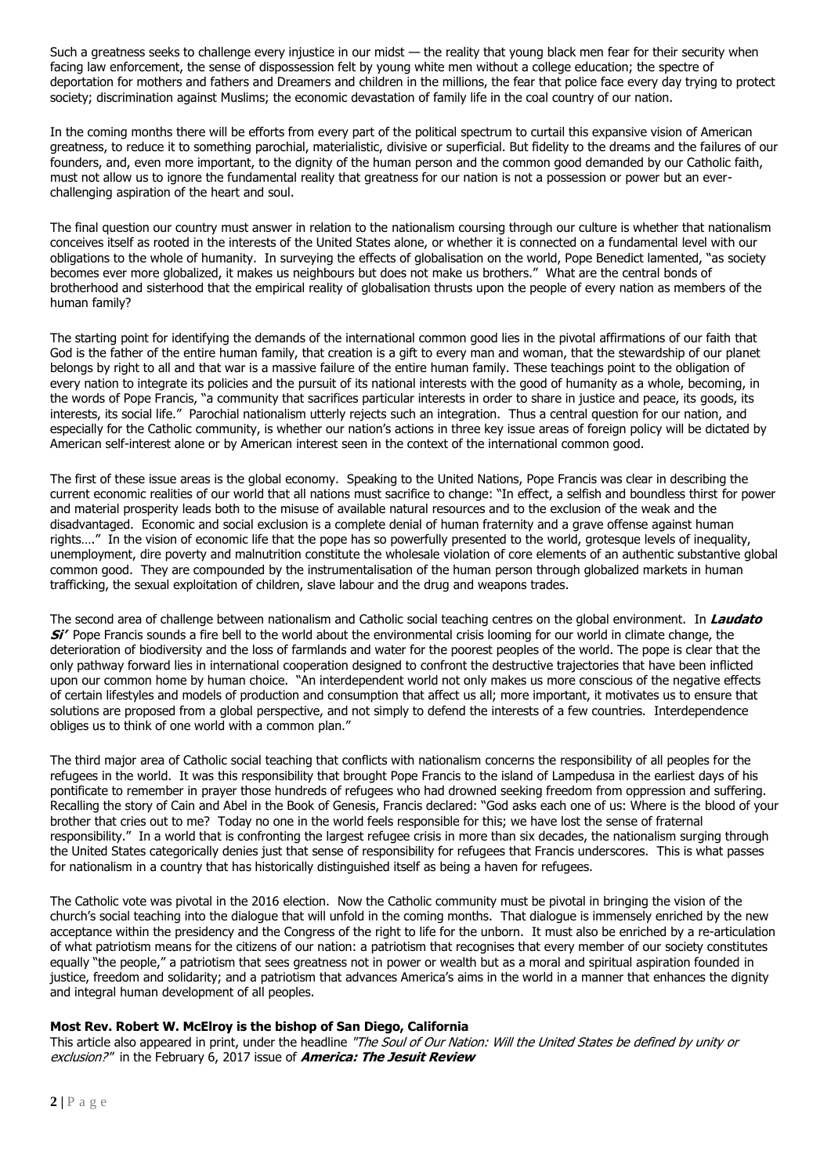Such a greatness seeks to challenge every injustice in our midst — the reality that young black men fear for their security when facing law enforcement, the sense of dispossession felt by young white men without a college education; the spectre of deportation for mothers and fathers and Dreamers and children in the millions, the fear that police face every day trying to protect society; discrimination against Muslims; the economic devastation of family life in the coal country of our nation.

In the coming months there will be efforts from every part of the political spectrum to curtail this expansive vision of American greatness, to reduce it to something parochial, materialistic, divisive or superficial. But fidelity to the dreams and the failures of our founders, and, even more important, to the dignity of the human person and the common good demanded by our Catholic faith, must not allow us to ignore the fundamental reality that greatness for our nation is not a possession or power but an everchallenging aspiration of the heart and soul.

The final question our country must answer in relation to the nationalism coursing through our culture is whether that nationalism conceives itself as rooted in the interests of the United States alone, or whether it is connected on a fundamental level with our obligations to the whole of humanity. In surveying the effects of globalisation on the world, Pope Benedict lamented, "as society becomes ever more globalized, it makes us neighbours but does not make us brothers." What are the central bonds of brotherhood and sisterhood that the empirical reality of globalisation thrusts upon the people of every nation as members of the human family?

The starting point for identifying the demands of the international common good lies in the pivotal affirmations of our faith that God is the father of the entire human family, that creation is a gift to every man and woman, that the stewardship of our planet belongs by right to all and that war is a massive failure of the entire human family. These teachings point to the obligation of every nation to integrate its policies and the pursuit of its national interests with the good of humanity as a whole, becoming, in the words of Pope Francis, "a community that sacrifices particular interests in order to share in justice and peace, its goods, its interests, its social life." Parochial nationalism utterly rejects such an integration. Thus a central question for our nation, and especially for the Catholic community, is whether our nation's actions in three key issue areas of foreign policy will be dictated by American self-interest alone or by American interest seen in the context of the international common good.

The first of these issue areas is the global economy. Speaking to the United Nations, Pope Francis was clear in describing the current economic realities of our world that all nations must sacrifice to change: "In effect, a selfish and boundless thirst for power and material prosperity leads both to the misuse of available natural resources and to the exclusion of the weak and the disadvantaged. Economic and social exclusion is a complete denial of human fraternity and a grave offense against human rights…." In the vision of economic life that the pope has so powerfully presented to the world, grotesque levels of inequality, unemployment, dire poverty and malnutrition constitute the wholesale violation of core elements of an authentic substantive global common good. They are compounded by the instrumentalisation of the human person through globalized markets in human trafficking, the sexual exploitation of children, slave labour and the drug and weapons trades.

The second area of challenge between nationalism and Catholic social teaching centres on the global environment. In **Laudato Si'** Pope Francis sounds a fire bell to the world about the environmental crisis looming for our world in climate change, the deterioration of biodiversity and the loss of farmlands and water for the poorest peoples of the world. The pope is clear that the only pathway forward lies in international cooperation designed to confront the destructive trajectories that have been inflicted upon our common home by human choice. "An interdependent world not only makes us more conscious of the negative effects of certain lifestyles and models of production and consumption that affect us all; more important, it motivates us to ensure that solutions are proposed from a global perspective, and not simply to defend the interests of a few countries. Interdependence obliges us to think of one world with a common plan."

The third major area of Catholic social teaching that conflicts with nationalism concerns the responsibility of all peoples for the refugees in the world. It was this responsibility that brought Pope Francis to the island of Lampedusa in the earliest days of his pontificate to remember in prayer those hundreds of refugees who had drowned seeking freedom from oppression and suffering. Recalling the story of Cain and Abel in the Book of Genesis, Francis declared: "God asks each one of us: Where is the blood of your brother that cries out to me? Today no one in the world feels responsible for this; we have lost the sense of fraternal responsibility." In a world that is confronting the largest refugee crisis in more than six decades, the nationalism surging through the United States categorically denies just that sense of responsibility for refugees that Francis underscores. This is what passes for nationalism in a country that has historically distinguished itself as being a haven for refugees.

The Catholic vote was pivotal in the 2016 election. Now the Catholic community must be pivotal in bringing the vision of the church's social teaching into the dialogue that will unfold in the coming months. That dialogue is immensely enriched by the new acceptance within the presidency and the Congress of the right to life for the unborn. It must also be enriched by a re-articulation of what patriotism means for the citizens of our nation: a patriotism that recognises that every member of our society constitutes equally "the people," a patriotism that sees greatness not in power or wealth but as a moral and spiritual aspiration founded in justice, freedom and solidarity; and a patriotism that advances America's aims in the world in a manner that enhances the dignity and integral human development of all peoples.

#### **Most Rev. Robert W. McElroy is the bishop of San Diego, California**

This article also appeared in print, under the headline "The Soul of Our Nation: Will the United States be defined by unity or exclusion?" in the February 6, 2017 issue of **America: The Jesuit Review**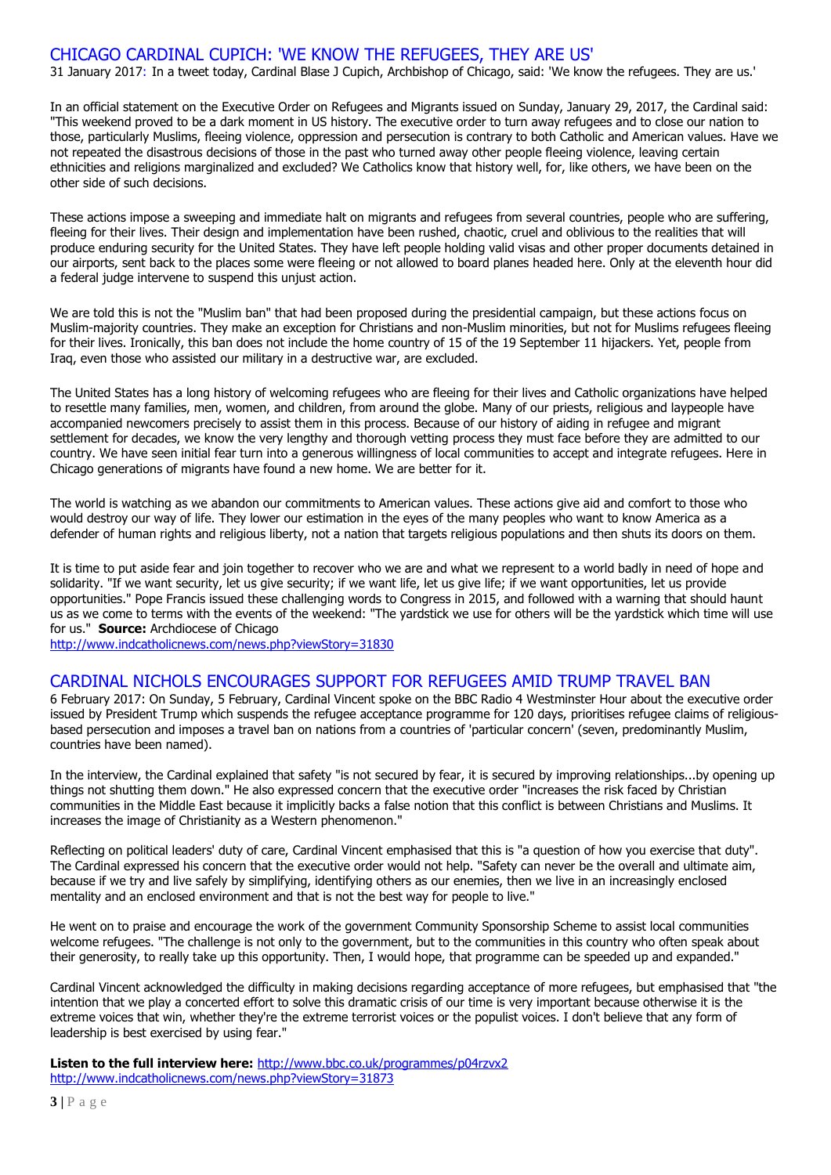### CHICAGO CARDINAL CUPICH: 'WE KNOW THE REFUGEES, THEY ARE US'

31 January 2017: In a tweet today, Cardinal Blase J Cupich, Archbishop of Chicago, said: 'We know the refugees. They are us.'

In an official statement on the Executive Order on Refugees and Migrants issued on Sunday, January 29, 2017, the Cardinal said: "This weekend proved to be a dark moment in US history. The executive order to turn away refugees and to close our nation to those, particularly Muslims, fleeing violence, oppression and persecution is contrary to both Catholic and American values. Have we not repeated the disastrous decisions of those in the past who turned away other people fleeing violence, leaving certain ethnicities and religions marginalized and excluded? We Catholics know that history well, for, like others, we have been on the other side of such decisions.

These actions impose a sweeping and immediate halt on migrants and refugees from several countries, people who are suffering, fleeing for their lives. Their design and implementation have been rushed, chaotic, cruel and oblivious to the realities that will produce enduring security for the United States. They have left people holding valid visas and other proper documents detained in our airports, sent back to the places some were fleeing or not allowed to board planes headed here. Only at the eleventh hour did a federal judge intervene to suspend this unjust action.

We are told this is not the "Muslim ban" that had been proposed during the presidential campaign, but these actions focus on Muslim-majority countries. They make an exception for Christians and non-Muslim minorities, but not for Muslims refugees fleeing for their lives. Ironically, this ban does not include the home country of 15 of the 19 September 11 hijackers. Yet, people from Iraq, even those who assisted our military in a destructive war, are excluded.

The United States has a long history of welcoming refugees who are fleeing for their lives and Catholic organizations have helped to resettle many families, men, women, and children, from around the globe. Many of our priests, religious and laypeople have accompanied newcomers precisely to assist them in this process. Because of our history of aiding in refugee and migrant settlement for decades, we know the very lengthy and thorough vetting process they must face before they are admitted to our country. We have seen initial fear turn into a generous willingness of local communities to accept and integrate refugees. Here in Chicago generations of migrants have found a new home. We are better for it.

The world is watching as we abandon our commitments to American values. These actions give aid and comfort to those who would destroy our way of life. They lower our estimation in the eyes of the many peoples who want to know America as a defender of human rights and religious liberty, not a nation that targets religious populations and then shuts its doors on them.

It is time to put aside fear and join together to recover who we are and what we represent to a world badly in need of hope and solidarity. "If we want security, let us give security; if we want life, let us give life; if we want opportunities, let us provide opportunities." Pope Francis issued these challenging words to Congress in 2015, and followed with a warning that should haunt us as we come to terms with the events of the weekend: "The yardstick we use for others will be the yardstick which time will use for us." **Source:** Archdiocese of Chicago

http://www.indcatholicnews.com/news.php?viewStory=31830

#### CARDINAL NICHOLS ENCOURAGES SUPPORT FOR REFUGEES AMID TRUMP TRAVEL BAN

6 February 2017: On Sunday, 5 February, Cardinal Vincent spoke on the BBC Radio 4 Westminster Hour about the executive order issued by President Trump which suspends the refugee acceptance programme for 120 days, prioritises refugee claims of religiousbased persecution and imposes a travel ban on nations from a countries of 'particular concern' (seven, predominantly Muslim, countries have been named).

In the interview, the Cardinal explained that safety "is not secured by fear, it is secured by improving relationships...by opening up things not shutting them down." He also expressed concern that the executive order "increases the risk faced by Christian communities in the Middle East because it implicitly backs a false notion that this conflict is between Christians and Muslims. It increases the image of Christianity as a Western phenomenon."

Reflecting on political leaders' duty of care, Cardinal Vincent emphasised that this is "a question of how you exercise that duty". The Cardinal expressed his concern that the executive order would not help. "Safety can never be the overall and ultimate aim, because if we try and live safely by simplifying, identifying others as our enemies, then we live in an increasingly enclosed mentality and an enclosed environment and that is not the best way for people to live."

He went on to praise and encourage the work of the government Community Sponsorship Scheme to assist local communities welcome refugees. "The challenge is not only to the government, but to the communities in this country who often speak about their generosity, to really take up this opportunity. Then, I would hope, that programme can be speeded up and expanded."

Cardinal Vincent acknowledged the difficulty in making decisions regarding acceptance of more refugees, but emphasised that "the intention that we play a concerted effort to solve this dramatic crisis of our time is very important because otherwise it is the extreme voices that win, whether they're the extreme terrorist voices or the populist voices. I don't believe that any form of leadership is best exercised by using fear."

Listen to the full interview here: http://www.bbc.co.uk/programmes/p04rzvx2 <http://www.indcatholicnews.com/news.php?viewStory=31873>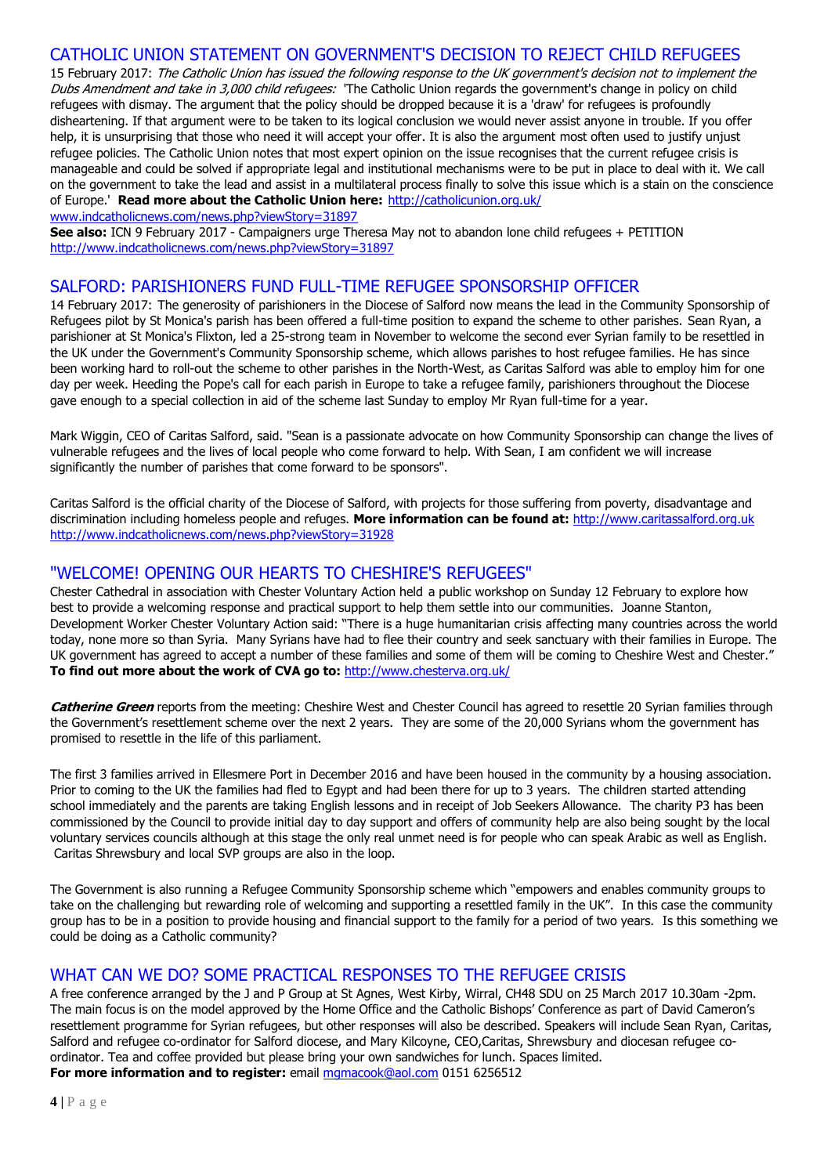# CATHOLIC UNION STATEMENT ON GOVERNMENT'S DECISION TO REJECT CHILD REFUGEES

15 February 2017: The Catholic Union has issued the following response to the UK government's decision not to implement the Dubs Amendment and take in 3,000 child refugees: 'The Catholic Union regards the government's change in policy on child refugees with dismay. The argument that the policy should be dropped because it is a 'draw' for refugees is profoundly disheartening. If that argument were to be taken to its logical conclusion we would never assist anyone in trouble. If you offer help, it is unsurprising that those who need it will accept your offer. It is also the argument most often used to justify unjust refugee policies. The Catholic Union notes that most expert opinion on the issue recognises that the current refugee crisis is manageable and could be solved if appropriate legal and institutional mechanisms were to be put in place to deal with it. We call on the government to take the lead and assist in a multilateral process finally to solve this issue which is a stain on the conscience of Europe.' **Read more about the Catholic Union here:** <http://catholicunion.org.uk/>

[www.indcatholicnews.com/news.php?viewStory=31897](http://www.indcatholicnews.com/news.php?viewStory=31897) 

**See also:** ICN 9 February 2017 - Campaigners urge Theresa May not to abandon lone child refugees + PETITION http://www.indcatholicnews.com/news.php?viewStory=31897

### SALFORD: PARISHIONERS FUND FULL-TIME REFUGEE SPONSORSHIP OFFICER

14 February 2017: The generosity of parishioners in the Diocese of Salford now means the lead in the Community Sponsorship of Refugees pilot by St Monica's parish has been offered a full-time position to expand the scheme to other parishes. Sean Ryan, a parishioner at St Monica's Flixton, led a 25-strong team in November to welcome the second ever Syrian family to be resettled in the UK under the Government's Community Sponsorship scheme, which allows parishes to host refugee families. He has since been working hard to roll-out the scheme to other parishes in the North-West, as Caritas Salford was able to employ him for one day per week. Heeding the Pope's call for each parish in Europe to take a refugee family, parishioners throughout the Diocese gave enough to a special collection in aid of the scheme last Sunday to employ Mr Ryan full-time for a year.

Mark Wiggin, CEO of Caritas Salford, said. "Sean is a passionate advocate on how Community Sponsorship can change the lives of vulnerable refugees and the lives of local people who come forward to help. With Sean, I am confident we will increase significantly the number of parishes that come forward to be sponsors".

Caritas Salford is the official charity of the Diocese of Salford, with projects for those suffering from poverty, disadvantage and discrimination including homeless people and refuges. **More information can be found at:** [http://www.caritassalford.org.uk](http://www.caritassalford.org.uk/) http://www.indcatholicnews.com/news.php?viewStory=31928

## "WELCOME! OPENING OUR HEARTS TO CHESHIRE'S REFUGEES"

Chester Cathedral in association with Chester Voluntary Action held a public workshop on Sunday 12 February to explore how best to provide a welcoming response and practical support to help them settle into our communities. Joanne Stanton, Development Worker Chester Voluntary Action said: "There is a huge humanitarian crisis affecting many countries across the world today, none more so than Syria. Many Syrians have had to flee their country and seek sanctuary with their families in Europe. The UK government has agreed to accept a number of these families and some of them will be coming to Cheshire West and Chester." **To find out more about the work of CVA go to:** http://www.chesterva.org.uk/

**Catherine Green** reports from the meeting: Cheshire West and Chester Council has agreed to resettle 20 Syrian families through the Government's resettlement scheme over the next 2 years. They are some of the 20,000 Syrians whom the government has promised to resettle in the life of this parliament.

The first 3 families arrived in Ellesmere Port in December 2016 and have been housed in the community by a housing association. Prior to coming to the UK the families had fled to Egypt and had been there for up to 3 years. The children started attending school immediately and the parents are taking English lessons and in receipt of Job Seekers Allowance. The charity P3 has been commissioned by the Council to provide initial day to day support and offers of community help are also being sought by the local voluntary services councils although at this stage the only real unmet need is for people who can speak Arabic as well as English. Caritas Shrewsbury and local SVP groups are also in the loop.

The Government is also running a Refugee Community Sponsorship scheme which "empowers and enables community groups to take on the challenging but rewarding role of welcoming and supporting a resettled family in the UK". In this case the community group has to be in a position to provide housing and financial support to the family for a period of two years. Is this something we could be doing as a Catholic community?

### WHAT CAN WE DO? SOME PRACTICAL RESPONSES TO THE REFUGEE CRISIS

A free conference arranged by the J and P Group at St Agnes, West Kirby, Wirral, CH48 SDU on 25 March 2017 10.30am -2pm. The main focus is on the model approved by the Home Office and the Catholic Bishops' Conference as part of David Cameron's resettlement programme for Syrian refugees, but other responses will also be described. Speakers will include Sean Ryan, Caritas, Salford and refugee co-ordinator for Salford diocese, and Mary Kilcoyne, CEO,Caritas, Shrewsbury and diocesan refugee coordinator. Tea and coffee provided but please bring your own sandwiches for lunch. Spaces limited. **For more information and to register:** email mgmacook@aol.com 0151 6256512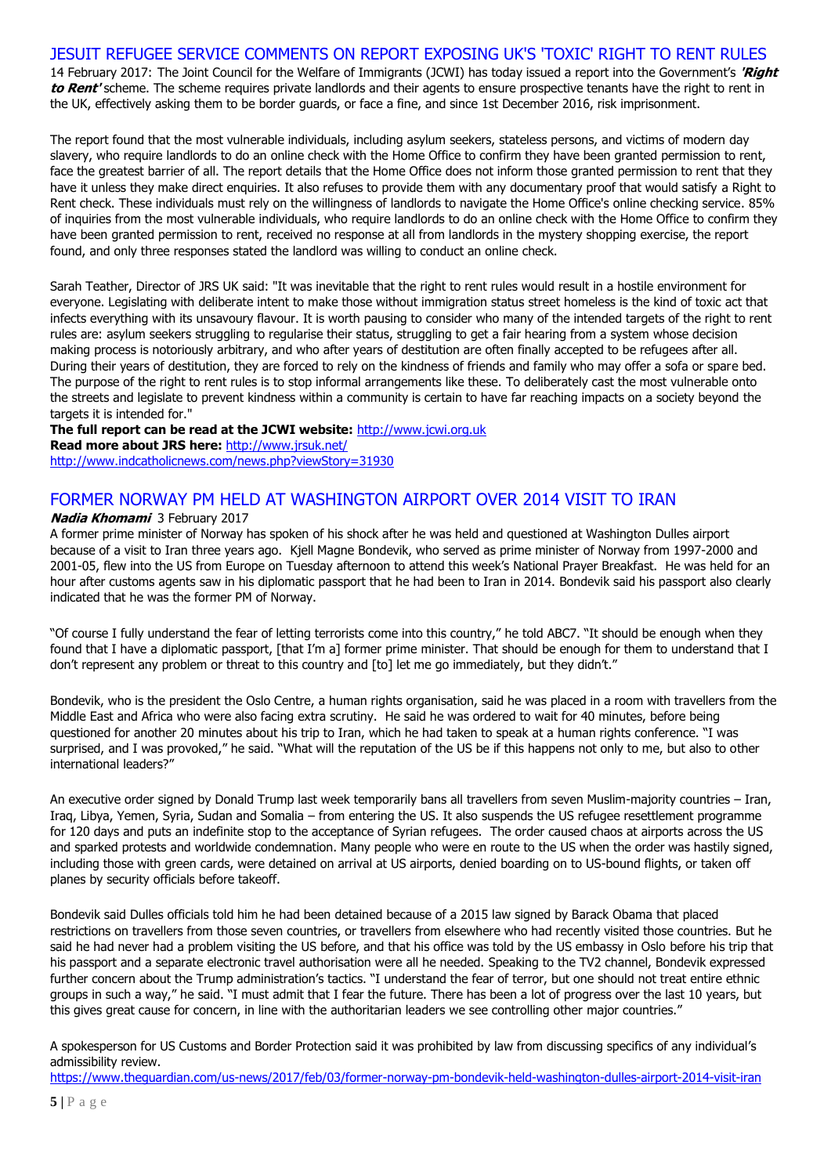#### JESUIT REFUGEE SERVICE COMMENTS ON REPORT EXPOSING UK'S 'TOXIC' RIGHT TO RENT RULES 14 February 2017: The Joint Council for the Welfare of Immigrants (JCWI) has today issued a report into the Government's **'Right**

**to Rent'** scheme. The scheme requires private landlords and their agents to ensure prospective tenants have the right to rent in the UK, effectively asking them to be border guards, or face a fine, and since 1st December 2016, risk imprisonment.

The report found that the most vulnerable individuals, including asylum seekers, stateless persons, and victims of modern day slavery, who require landlords to do an online check with the Home Office to confirm they have been granted permission to rent, face the greatest barrier of all. The report details that the Home Office does not inform those granted permission to rent that they have it unless they make direct enquiries. It also refuses to provide them with any documentary proof that would satisfy a Right to Rent check. These individuals must rely on the willingness of landlords to navigate the Home Office's online checking service. 85% of inquiries from the most vulnerable individuals, who require landlords to do an online check with the Home Office to confirm they have been granted permission to rent, received no response at all from landlords in the mystery shopping exercise, the report found, and only three responses stated the landlord was willing to conduct an online check.

Sarah Teather, Director of JRS UK said: "It was inevitable that the right to rent rules would result in a hostile environment for everyone. Legislating with deliberate intent to make those without immigration status street homeless is the kind of toxic act that infects everything with its unsavoury flavour. It is worth pausing to consider who many of the intended targets of the right to rent rules are: asylum seekers struggling to regularise their status, struggling to get a fair hearing from a system whose decision making process is notoriously arbitrary, and who after years of destitution are often finally accepted to be refugees after all. During their years of destitution, they are forced to rely on the kindness of friends and family who may offer a sofa or spare bed. The purpose of the right to rent rules is to stop informal arrangements like these. To deliberately cast the most vulnerable onto the streets and legislate to prevent kindness within a community is certain to have far reaching impacts on a society beyond the targets it is intended for."

#### **The full report can be read at the JCWI website:** [http://www.jcwi.org.uk](http://www.jcwi.org.uk/)  **Read more about JRS here:** <http://www.jrsuk.net/>

http://www.indcatholicnews.com/news.php?viewStory=31930

# FORMER NORWAY PM HELD AT WASHINGTON AIRPORT OVER 2014 VISIT TO IRAN

### **Nadia Khomami** 3 February 2017

A former prime minister of Norway has spoken of his shock after he was held and questioned at Washington Dulles airport because of a visit to Iran three years ago. Kjell Magne Bondevik, who served as prime minister of Norway from 1997-2000 and 2001-05, flew into the US from Europe on Tuesday afternoon to attend this week's National Prayer Breakfast. He was held for an hour after customs agents saw in his diplomatic passport that he had been to Iran in 2014. Bondevik said his passport also clearly indicated that he was the former PM of Norway.

"Of course I fully understand the fear of letting terrorists come into this country," he told ABC7. "It should be enough when they found that I have a diplomatic passport, [that I'm a] former prime minister. That should be enough for them to understand that I don't represent any problem or threat to this country and [to] let me go immediately, but they didn't."

Bondevik, who is the president the Oslo Centre, a human rights organisation, said he was placed in a room with travellers from the Middle East and Africa who were also facing extra scrutiny. He said he was ordered to wait for 40 minutes, before being questioned for another 20 minutes about his trip to Iran, which he had taken to speak at a human rights conference. "I was surprised, and I was provoked," he said. "What will the reputation of the US be if this happens not only to me, but also to other international leaders?"

An executive order signed by Donald Trump last week temporarily bans all travellers from seven Muslim-majority countries – Iran, Iraq, Libya, Yemen, Syria, Sudan and Somalia – from entering the US. It also suspends the US refugee resettlement programme for 120 days and puts an indefinite stop to the acceptance of Syrian refugees. The order caused chaos at airports across the US and sparked protests and worldwide condemnation. Many people who were en route to the US when the order was hastily signed, including those with green cards, were detained on arrival at US airports, denied boarding on to US-bound flights, or taken off planes by security officials before takeoff.

Bondevik said Dulles officials told him he had been detained because of a 2015 law signed by Barack Obama that placed restrictions on travellers from those seven countries, or travellers from elsewhere who had recently visited those countries. But he said he had never had a problem visiting the US before, and that his office was told by the US embassy in Oslo before his trip that his passport and a separate electronic travel authorisation were all he needed. Speaking to the TV2 channel, Bondevik expressed further concern about the Trump administration's tactics. "I understand the fear of terror, but one should not treat entire ethnic groups in such a way," he said. "I must admit that I fear the future. There has been a lot of progress over the last 10 years, but this gives great cause for concern, in line with the authoritarian leaders we see controlling other major countries."

A spokesperson for US Customs and Border Protection said it was prohibited by law from discussing specifics of any individual's admissibility review.

<https://www.theguardian.com/us-news/2017/feb/03/former-norway-pm-bondevik-held-washington-dulles-airport-2014-visit-iran>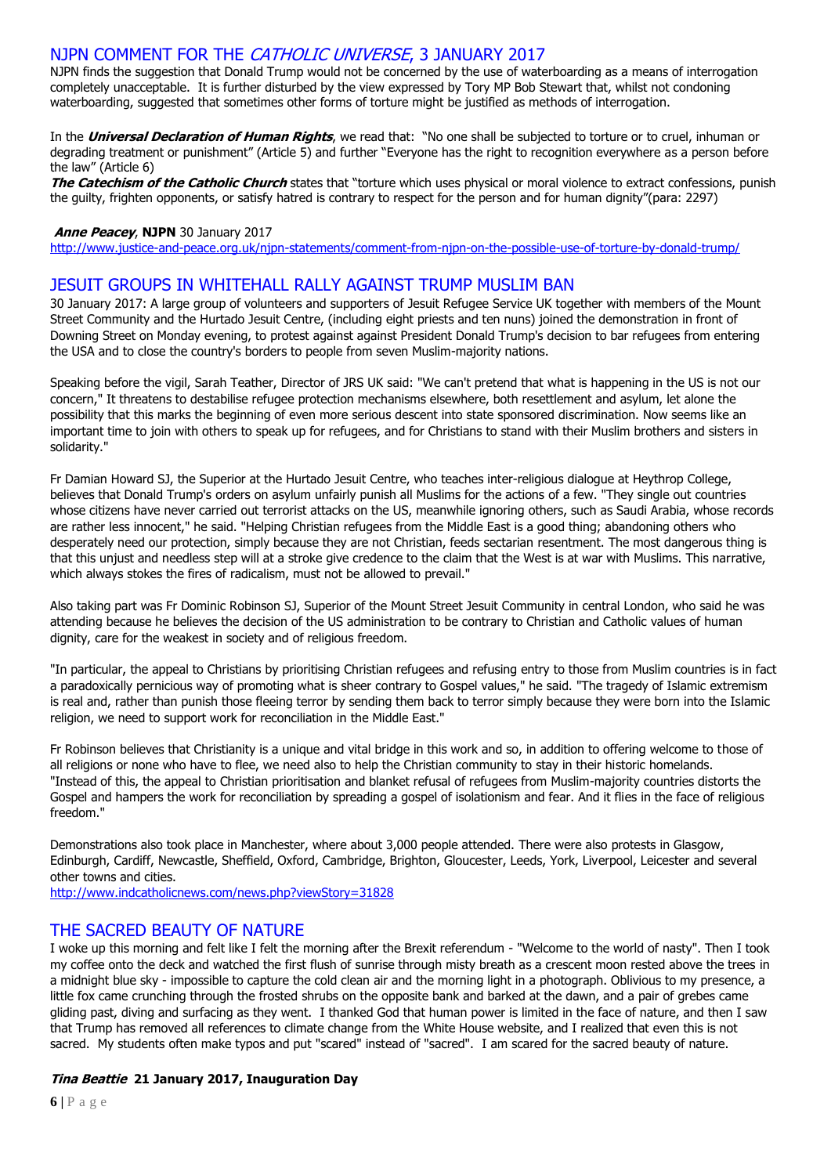# NJPN COMMENT FOR THE CATHOLIC UNIVERSE, 3 JANUARY 2017

NJPN finds the suggestion that Donald Trump would not be concerned by the use of waterboarding as a means of interrogation completely unacceptable. It is further disturbed by the view expressed by Tory MP Bob Stewart that, whilst not condoning waterboarding, suggested that sometimes other forms of torture might be justified as methods of interrogation.

In the **Universal Declaration of Human Rights**, we read that: "No one shall be subjected to torture or to cruel, inhuman or degrading treatment or punishment" (Article 5) and further "Everyone has the right to recognition everywhere as a person before the law" (Article 6)

**The Catechism of the Catholic Church** states that "torture which uses physical or moral violence to extract confessions, punish the guilty, frighten opponents, or satisfy hatred is contrary to respect for the person and for human dignity"(para: 2297)

#### **Anne Peacey**, **NJPN** 30 January 2017

<http://www.justice-and-peace.org.uk/njpn-statements/comment-from-njpn-on-the-possible-use-of-torture-by-donald-trump/>

### JESUIT GROUPS IN WHITEHALL RALLY AGAINST TRUMP MUSLIM BAN

30 January 2017: A large group of volunteers and supporters of Jesuit Refugee Service UK together with members of the Mount Street Community and the Hurtado Jesuit Centre, (including eight priests and ten nuns) joined the demonstration in front of Downing Street on Monday evening, to protest against against President Donald Trump's decision to bar refugees from entering the USA and to close the country's borders to people from seven Muslim-majority nations.

Speaking before the vigil, Sarah Teather, Director of JRS UK said: "We can't pretend that what is happening in the US is not our concern," It threatens to destabilise refugee protection mechanisms elsewhere, both resettlement and asylum, let alone the possibility that this marks the beginning of even more serious descent into state sponsored discrimination. Now seems like an important time to join with others to speak up for refugees, and for Christians to stand with their Muslim brothers and sisters in solidarity."

Fr Damian Howard SJ, the Superior at the Hurtado Jesuit Centre, who teaches inter-religious dialogue at Heythrop College, believes that Donald Trump's orders on asylum unfairly punish all Muslims for the actions of a few. "They single out countries whose citizens have never carried out terrorist attacks on the US, meanwhile ignoring others, such as Saudi Arabia, whose records are rather less innocent," he said. "Helping Christian refugees from the Middle East is a good thing; abandoning others who desperately need our protection, simply because they are not Christian, feeds sectarian resentment. The most dangerous thing is that this unjust and needless step will at a stroke give credence to the claim that the West is at war with Muslims. This narrative, which always stokes the fires of radicalism, must not be allowed to prevail."

Also taking part was Fr Dominic Robinson SJ, Superior of the Mount Street Jesuit Community in central London, who said he was attending because he believes the decision of the US administration to be contrary to Christian and Catholic values of human dignity, care for the weakest in society and of religious freedom.

"In particular, the appeal to Christians by prioritising Christian refugees and refusing entry to those from Muslim countries is in fact a paradoxically pernicious way of promoting what is sheer contrary to Gospel values," he said. "The tragedy of Islamic extremism is real and, rather than punish those fleeing terror by sending them back to terror simply because they were born into the Islamic religion, we need to support work for reconciliation in the Middle East."

Fr Robinson believes that Christianity is a unique and vital bridge in this work and so, in addition to offering welcome to those of all religions or none who have to flee, we need also to help the Christian community to stay in their historic homelands. "Instead of this, the appeal to Christian prioritisation and blanket refusal of refugees from Muslim-majority countries distorts the Gospel and hampers the work for reconciliation by spreading a gospel of isolationism and fear. And it flies in the face of religious freedom."

Demonstrations also took place in Manchester, where about 3,000 people attended. There were also protests in Glasgow, Edinburgh, Cardiff, Newcastle, Sheffield, Oxford, Cambridge, Brighton, Gloucester, Leeds, York, Liverpool, Leicester and several other towns and cities.

<http://www.indcatholicnews.com/news.php?viewStory=31828>

#### THE SACRED BEAUTY OF NATURE

I woke up this morning and felt like I felt the morning after the Brexit referendum - "Welcome to the world of nasty". Then I took my coffee onto the deck and watched the first flush of sunrise through misty breath as a crescent moon rested above the trees in a midnight blue sky - impossible to capture the cold clean air and the morning light in a photograph. Oblivious to my presence, a little fox came crunching through the frosted shrubs on the opposite bank and barked at the dawn, and a pair of grebes came gliding past, diving and surfacing as they went. I thanked God that human power is limited in the face of nature, and then I saw that Trump has removed all references to climate change from the White House website, and I realized that even this is not sacred. My students often make typos and put "scared" instead of "sacred". I am scared for the sacred beauty of nature.

#### **Tina Beattie 21 January 2017, Inauguration Day**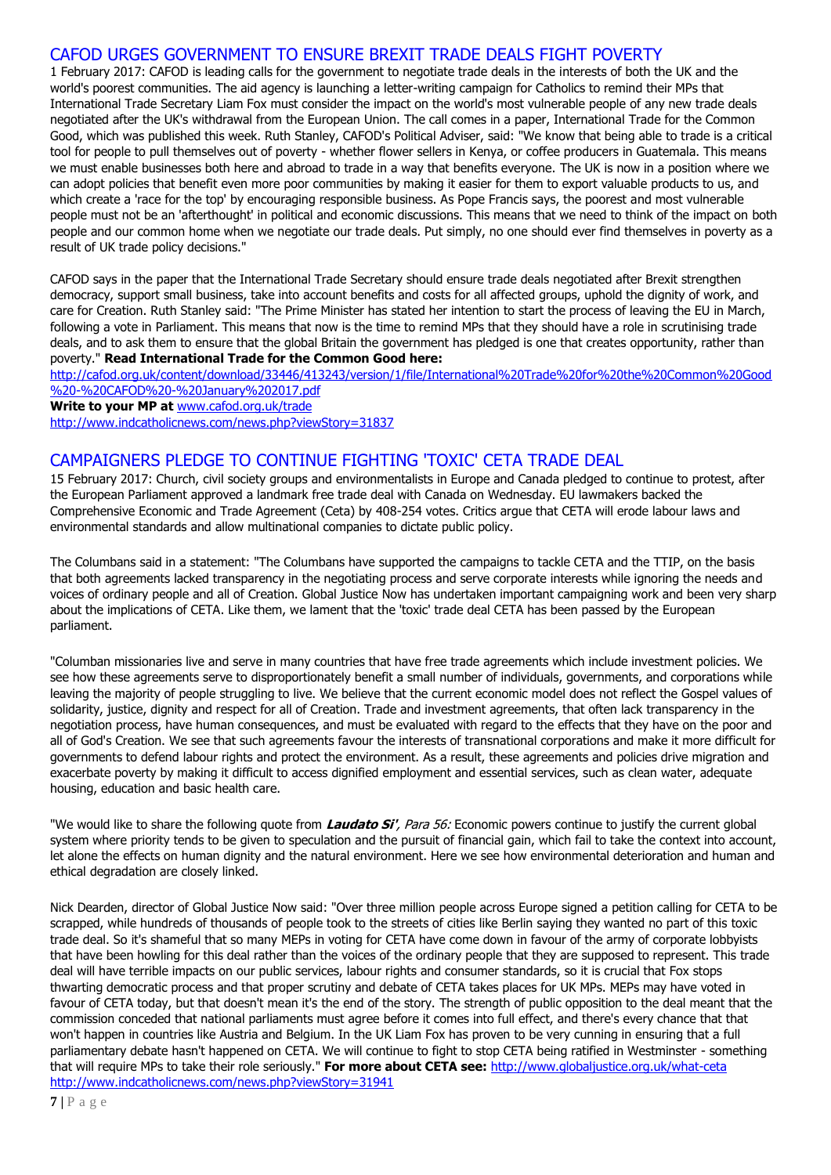# CAFOD URGES GOVERNMENT TO ENSURE BREXIT TRADE DEALS FIGHT POVERTY

1 February 2017: CAFOD is leading calls for the government to negotiate trade deals in the interests of both the UK and the world's poorest communities. The aid agency is launching a letter-writing campaign for Catholics to remind their MPs that International Trade Secretary Liam Fox must consider the impact on the world's most vulnerable people of any new trade deals negotiated after the UK's withdrawal from the European Union. The call comes in a paper, International Trade for the Common Good, which was published this week. Ruth Stanley, CAFOD's Political Adviser, said: "We know that being able to trade is a critical tool for people to pull themselves out of poverty - whether flower sellers in Kenya, or coffee producers in Guatemala. This means we must enable businesses both here and abroad to trade in a way that benefits everyone. The UK is now in a position where we can adopt policies that benefit even more poor communities by making it easier for them to export valuable products to us, and which create a 'race for the top' by encouraging responsible business. As Pope Francis says, the poorest and most vulnerable people must not be an 'afterthought' in political and economic discussions. This means that we need to think of the impact on both people and our common home when we negotiate our trade deals. Put simply, no one should ever find themselves in poverty as a result of UK trade policy decisions."

CAFOD says in the paper that the International Trade Secretary should ensure trade deals negotiated after Brexit strengthen democracy, support small business, take into account benefits and costs for all affected groups, uphold the dignity of work, and care for Creation. Ruth Stanley said: "The Prime Minister has stated her intention to start the process of leaving the EU in March, following a vote in Parliament. This means that now is the time to remind MPs that they should have a role in scrutinising trade deals, and to ask them to ensure that the global Britain the government has pledged is one that creates opportunity, rather than poverty." **Read International Trade for the Common Good here:**

http://cafod.org.uk/content/download/33446/413243/version/1/file/International%20Trade%20for%20the%20Common%20Good %20-%20CAFOD%20-%20January%202017.pdf

**Write to your MP at** www.cafod.org.uk/trade http://www.indcatholicnews.com/news.php?viewStory=31837

## CAMPAIGNERS PLEDGE TO CONTINUE FIGHTING 'TOXIC' CETA TRADE DEAL

15 February 2017: Church, civil society groups and environmentalists in Europe and Canada pledged to continue to protest, after the European Parliament approved a landmark free trade deal with Canada on Wednesday. EU lawmakers backed the Comprehensive Economic and Trade Agreement (Ceta) by 408-254 votes. Critics argue that CETA will erode labour laws and environmental standards and allow multinational companies to dictate public policy.

The Columbans said in a statement: "The Columbans have supported the campaigns to tackle CETA and the TTIP, on the basis that both agreements lacked transparency in the negotiating process and serve corporate interests while ignoring the needs and voices of ordinary people and all of Creation. Global Justice Now has undertaken important campaigning work and been very sharp about the implications of CETA. Like them, we lament that the 'toxic' trade deal CETA has been passed by the European parliament.

"Columban missionaries live and serve in many countries that have free trade agreements which include investment policies. We see how these agreements serve to disproportionately benefit a small number of individuals, governments, and corporations while leaving the majority of people struggling to live. We believe that the current economic model does not reflect the Gospel values of solidarity, justice, dignity and respect for all of Creation. Trade and investment agreements, that often lack transparency in the negotiation process, have human consequences, and must be evaluated with regard to the effects that they have on the poor and all of God's Creation. We see that such agreements favour the interests of transnational corporations and make it more difficult for governments to defend labour rights and protect the environment. As a result, these agreements and policies drive migration and exacerbate poverty by making it difficult to access dignified employment and essential services, such as clean water, adequate housing, education and basic health care.

"We would like to share the following quote from **Laudato Si'**, Para 56: Economic powers continue to justify the current global system where priority tends to be given to speculation and the pursuit of financial gain, which fail to take the context into account, let alone the effects on human dignity and the natural environment. Here we see how environmental deterioration and human and ethical degradation are closely linked.

Nick Dearden, director of Global Justice Now said: "Over three million people across Europe signed a petition calling for CETA to be scrapped, while hundreds of thousands of people took to the streets of cities like Berlin saying they wanted no part of this toxic trade deal. So it's shameful that so many MEPs in voting for CETA have come down in favour of the army of corporate lobbyists that have been howling for this deal rather than the voices of the ordinary people that they are supposed to represent. This trade deal will have terrible impacts on our public services, labour rights and consumer standards, so it is crucial that Fox stops thwarting democratic process and that proper scrutiny and debate of CETA takes places for UK MPs. MEPs may have voted in favour of CETA today, but that doesn't mean it's the end of the story. The strength of public opposition to the deal meant that the commission conceded that national parliaments must agree before it comes into full effect, and there's every chance that that won't happen in countries like Austria and Belgium. In the UK Liam Fox has proven to be very cunning in ensuring that a full parliamentary debate hasn't happened on CETA. We will continue to fight to stop CETA being ratified in Westminster - something that will require MPs to take their role seriously." **For more about CETA see:** <http://www.globaljustice.org.uk/what-ceta> http://www.indcatholicnews.com/news.php?viewStory=31941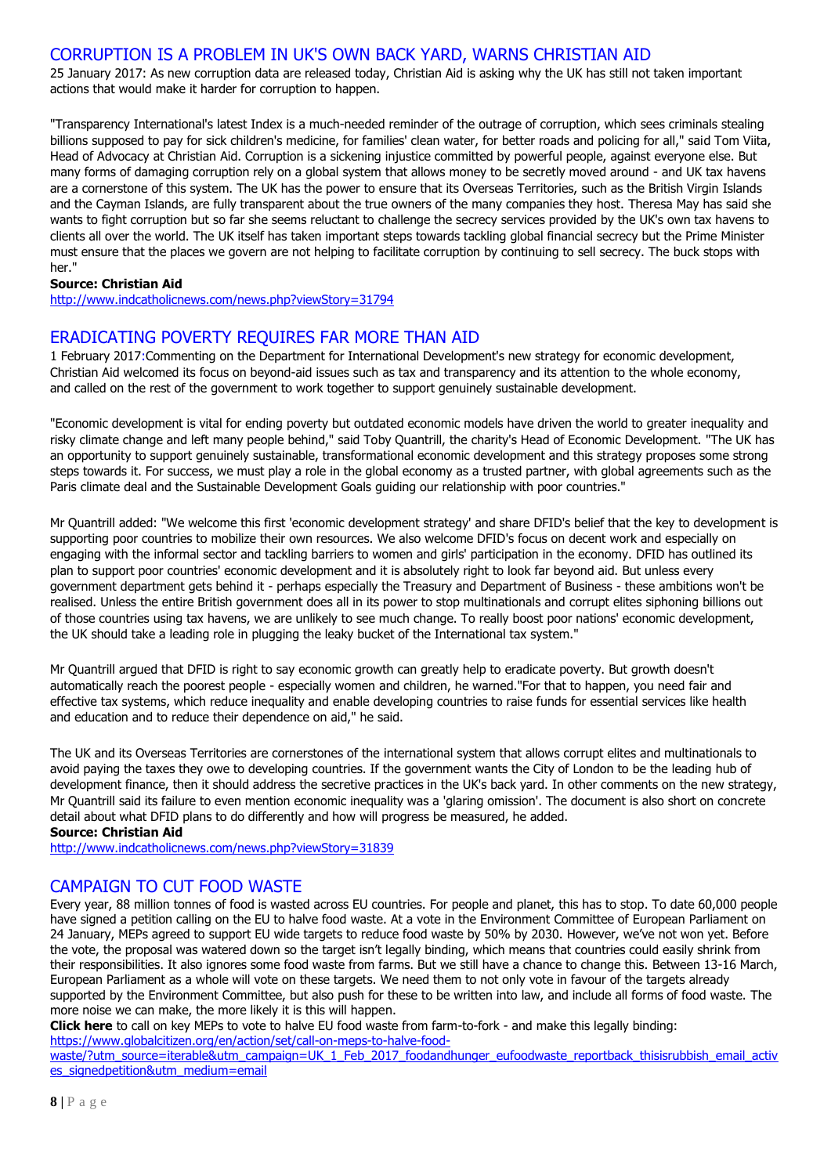# CORRUPTION IS A PROBLEM IN UK'S OWN BACK YARD, WARNS CHRISTIAN AID

25 January 2017: As new corruption data are released today, Christian Aid is asking why the UK has still not taken important actions that would make it harder for corruption to happen.

"Transparency International's latest Index is a much-needed reminder of the outrage of corruption, which sees criminals stealing billions supposed to pay for sick children's medicine, for families' clean water, for better roads and policing for all," said Tom Viita, Head of Advocacy at Christian Aid. Corruption is a sickening injustice committed by powerful people, against everyone else. But many forms of damaging corruption rely on a global system that allows money to be secretly moved around - and UK tax havens are a cornerstone of this system. The UK has the power to ensure that its Overseas Territories, such as the British Virgin Islands and the Cayman Islands, are fully transparent about the true owners of the many companies they host. Theresa May has said she wants to fight corruption but so far she seems reluctant to challenge the secrecy services provided by the UK's own tax havens to clients all over the world. The UK itself has taken important steps towards tackling global financial secrecy but the Prime Minister must ensure that the places we govern are not helping to facilitate corruption by continuing to sell secrecy. The buck stops with her."

#### **Source: Christian Aid**

http://www.indcatholicnews.com/news.php?viewStory=31794

### ERADICATING POVERTY REQUIRES FAR MORE THAN AID

1 February 2017:Commenting on the Department for International Development's new strategy for economic development, Christian Aid welcomed its focus on beyond-aid issues such as tax and transparency and its attention to the whole economy, and called on the rest of the government to work together to support genuinely sustainable development.

"Economic development is vital for ending poverty but outdated economic models have driven the world to greater inequality and risky climate change and left many people behind," said Toby Quantrill, the charity's Head of Economic Development. "The UK has an opportunity to support genuinely sustainable, transformational economic development and this strategy proposes some strong steps towards it. For success, we must play a role in the global economy as a trusted partner, with global agreements such as the Paris climate deal and the Sustainable Development Goals guiding our relationship with poor countries."

Mr Quantrill added: "We welcome this first 'economic development strategy' and share DFID's belief that the key to development is supporting poor countries to mobilize their own resources. We also welcome DFID's focus on decent work and especially on engaging with the informal sector and tackling barriers to women and girls' participation in the economy. DFID has outlined its plan to support poor countries' economic development and it is absolutely right to look far beyond aid. But unless every government department gets behind it - perhaps especially the Treasury and Department of Business - these ambitions won't be realised. Unless the entire British government does all in its power to stop multinationals and corrupt elites siphoning billions out of those countries using tax havens, we are unlikely to see much change. To really boost poor nations' economic development, the UK should take a leading role in plugging the leaky bucket of the International tax system."

Mr Quantrill argued that DFID is right to say economic growth can greatly help to eradicate poverty. But growth doesn't automatically reach the poorest people - especially women and children, he warned."For that to happen, you need fair and effective tax systems, which reduce inequality and enable developing countries to raise funds for essential services like health and education and to reduce their dependence on aid," he said.

The UK and its Overseas Territories are cornerstones of the international system that allows corrupt elites and multinationals to avoid paying the taxes they owe to developing countries. If the government wants the City of London to be the leading hub of development finance, then it should address the secretive practices in the UK's back yard. In other comments on the new strategy, Mr Quantrill said its failure to even mention economic inequality was a 'glaring omission'. The document is also short on concrete detail about what DFID plans to do differently and how will progress be measured, he added. **Source: Christian Aid**

http://www.indcatholicnews.com/news.php?viewStory=31839

### CAMPAIGN TO CUT FOOD WASTE

Every year, 88 million tonnes of food is wasted across EU countries. For people and planet, this has to stop. To date 60,000 people have signed a petition calling on the EU to halve food waste. At a vote in the Environment Committee of European Parliament on 24 January, MEPs agreed to support EU wide targets to reduce food waste by 50% by 2030. However, we've not won yet. Before the vote, the proposal was watered down so the target isn't legally binding, which means that countries could easily shrink from their responsibilities. It also ignores some food waste from farms. But we still have a chance to change this. Between 13-16 March, European Parliament as a whole will vote on these targets. We need them to not only vote in favour of the targets already supported by the Environment Committee, but also push for these to be written into law, and include all forms of food waste. The more noise we can make, the more likely it is this will happen.

**Click here** to call on key MEPs to vote to halve EU food waste from farm-to-fork - and make this legally binding: [https://www.globalcitizen.org/en/action/set/call-on-meps-to-halve-food-](https://www.globalcitizen.org/en/action/set/call-on-meps-to-halve-food-waste/?utm_source=iterable&utm_campaign=UK_1_Feb_2017_foodandhunger_eufoodwaste_reportback_thisisrubbish_email_actives_signedpetition&utm_medium=email)

[waste/?utm\\_source=iterable&utm\\_campaign=UK\\_1\\_Feb\\_2017\\_foodandhunger\\_eufoodwaste\\_reportback\\_thisisrubbish\\_email\\_activ](https://www.globalcitizen.org/en/action/set/call-on-meps-to-halve-food-waste/?utm_source=iterable&utm_campaign=UK_1_Feb_2017_foodandhunger_eufoodwaste_reportback_thisisrubbish_email_actives_signedpetition&utm_medium=email) [es\\_signedpetition&utm\\_medium=email](https://www.globalcitizen.org/en/action/set/call-on-meps-to-halve-food-waste/?utm_source=iterable&utm_campaign=UK_1_Feb_2017_foodandhunger_eufoodwaste_reportback_thisisrubbish_email_actives_signedpetition&utm_medium=email)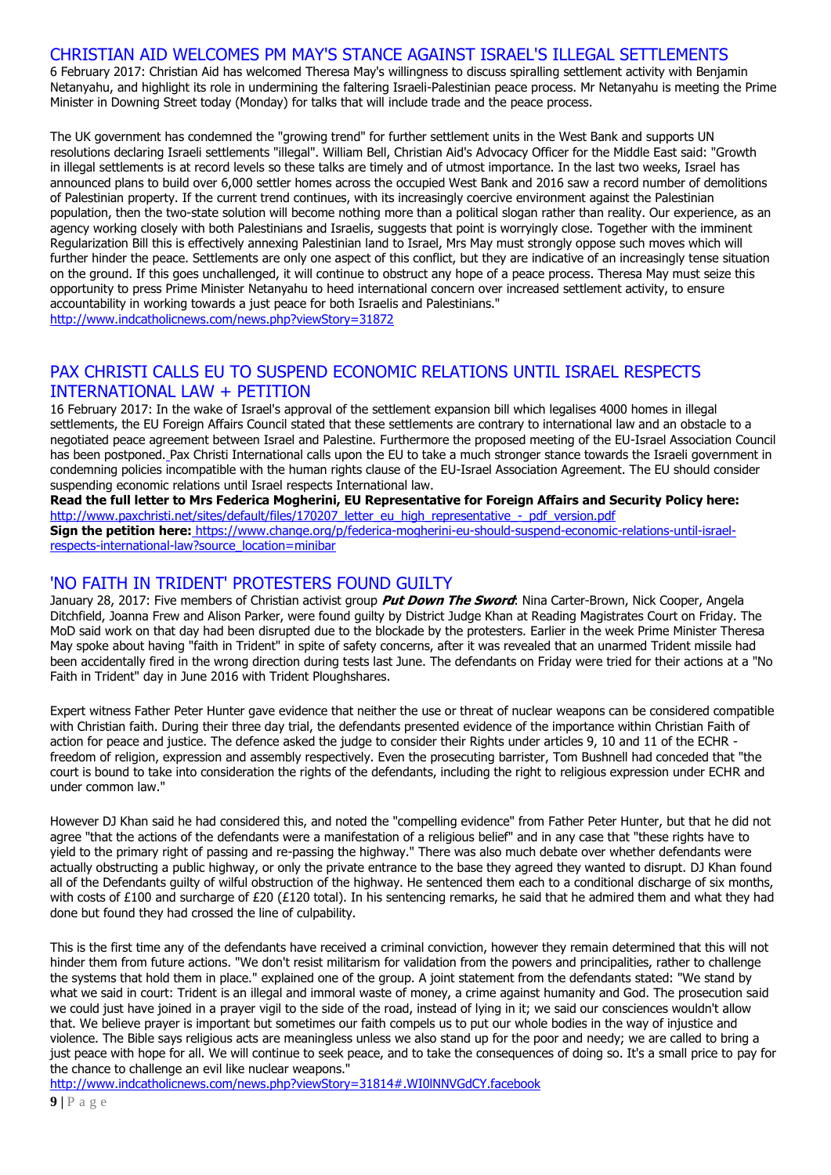# CHRISTIAN AID WELCOMES PM MAY'S STANCE AGAINST ISRAEL'S ILLEGAL SETTLEMENTS

6 February 2017: Christian Aid has welcomed Theresa May's willingness to discuss spiralling settlement activity with Benjamin Netanyahu, and highlight its role in undermining the faltering Israeli-Palestinian peace process. Mr Netanyahu is meeting the Prime Minister in Downing Street today (Monday) for talks that will include trade and the peace process.

The UK government has condemned the "growing trend" for further settlement units in the West Bank and supports UN resolutions declaring Israeli settlements "illegal". William Bell, Christian Aid's Advocacy Officer for the Middle East said: "Growth in illegal settlements is at record levels so these talks are timely and of utmost importance. In the last two weeks, Israel has announced plans to build over 6,000 settler homes across the occupied West Bank and 2016 saw a record number of demolitions of Palestinian property. If the current trend continues, with its increasingly coercive environment against the Palestinian population, then the two-state solution will become nothing more than a political slogan rather than reality. Our experience, as an agency working closely with both Palestinians and Israelis, suggests that point is worryingly close. Together with the imminent Regularization Bill this is effectively annexing Palestinian land to Israel, Mrs May must strongly oppose such moves which will further hinder the peace. Settlements are only one aspect of this conflict, but they are indicative of an increasingly tense situation on the ground. If this goes unchallenged, it will continue to obstruct any hope of a peace process. Theresa May must seize this opportunity to press Prime Minister Netanyahu to heed international concern over increased settlement activity, to ensure accountability in working towards a just peace for both Israelis and Palestinians." http://www.indcatholicnews.com/news.php?viewStory=31872

## PAX CHRISTI CALLS EU TO SUSPEND ECONOMIC RELATIONS UNTIL ISRAEL RESPECTS INTERNATIONAL LAW + PETITION

16 February 2017: In the wake of Israel's approval of the settlement expansion bill which legalises 4000 homes in illegal settlements, the EU Foreign Affairs Council stated that these settlements are contrary to international law and an obstacle to a negotiated peace agreement between Israel and Palestine. Furthermore the proposed meeting of the EU-Israel Association Council has been postponed. Pax Christi International calls upon the EU to take a much stronger stance towards the Israeli government in condemning policies incompatible with the human rights clause of the EU-Israel Association Agreement. The EU should consider suspending economic relations until Israel respects International law.

**Read the full letter to Mrs Federica Mogherini, EU Representative for Foreign Affairs and Security Policy here:** http://www.paxchristi.net/sites/default/files/170207\_letter\_eu\_high\_representative\_-\_pdf\_version.pdf **Sign the petition here:** https://www.change.org/p/federica-mogherini-eu-should-suspend-economic-relations-until-israelrespects-international-law?source\_location=minibar

# 'NO FAITH IN TRIDENT' PROTESTERS FOUND GUILTY

January 28, 2017: Five members of Christian activist group **Put Down The Sword**: Nina Carter-Brown, Nick Cooper, Angela Ditchfield, Joanna Frew and Alison Parker, were found guilty by District Judge Khan at Reading Magistrates Court on Friday. The MoD said work on that day had been disrupted due to the blockade by the protesters. Earlier in the week Prime Minister Theresa May spoke about having "faith in Trident" in spite of safety concerns, after it was revealed that an unarmed Trident missile had been accidentally fired in the wrong direction during tests last June. The defendants on Friday were tried for their actions at a "No Faith in Trident" day in June 2016 with Trident Ploughshares.

Expert witness Father Peter Hunter gave evidence that neither the use or threat of nuclear weapons can be considered compatible with Christian faith. During their three day trial, the defendants presented evidence of the importance within Christian Faith of action for peace and justice. The defence asked the judge to consider their Rights under articles 9, 10 and 11 of the ECHR freedom of religion, expression and assembly respectively. Even the prosecuting barrister, Tom Bushnell had conceded that "the court is bound to take into consideration the rights of the defendants, including the right to religious expression under ECHR and under common law."

However DJ Khan said he had considered this, and noted the "compelling evidence" from Father Peter Hunter, but that he did not agree "that the actions of the defendants were a manifestation of a religious belief" and in any case that "these rights have to yield to the primary right of passing and re-passing the highway." There was also much debate over whether defendants were actually obstructing a public highway, or only the private entrance to the base they agreed they wanted to disrupt. DJ Khan found all of the Defendants guilty of wilful obstruction of the highway. He sentenced them each to a conditional discharge of six months, with costs of £100 and surcharge of £20 (£120 total). In his sentencing remarks, he said that he admired them and what they had done but found they had crossed the line of culpability.

This is the first time any of the defendants have received a criminal conviction, however they remain determined that this will not hinder them from future actions. "We don't resist militarism for validation from the powers and principalities, rather to challenge the systems that hold them in place." explained one of the group. A joint statement from the defendants stated: "We stand by what we said in court: Trident is an illegal and immoral waste of money, a crime against humanity and God. The prosecution said we could just have joined in a prayer vigil to the side of the road, instead of lying in it; we said our consciences wouldn't allow that. We believe prayer is important but sometimes our faith compels us to put our whole bodies in the way of injustice and violence. The Bible says religious acts are meaningless unless we also stand up for the poor and needy; we are called to bring a just peace with hope for all. We will continue to seek peace, and to take the consequences of doing so. It's a small price to pay for the chance to challenge an evil like nuclear weapons."

http://www.indcatholicnews.com/news.php?viewStory=31814#.WI0lNNVGdCY.facebook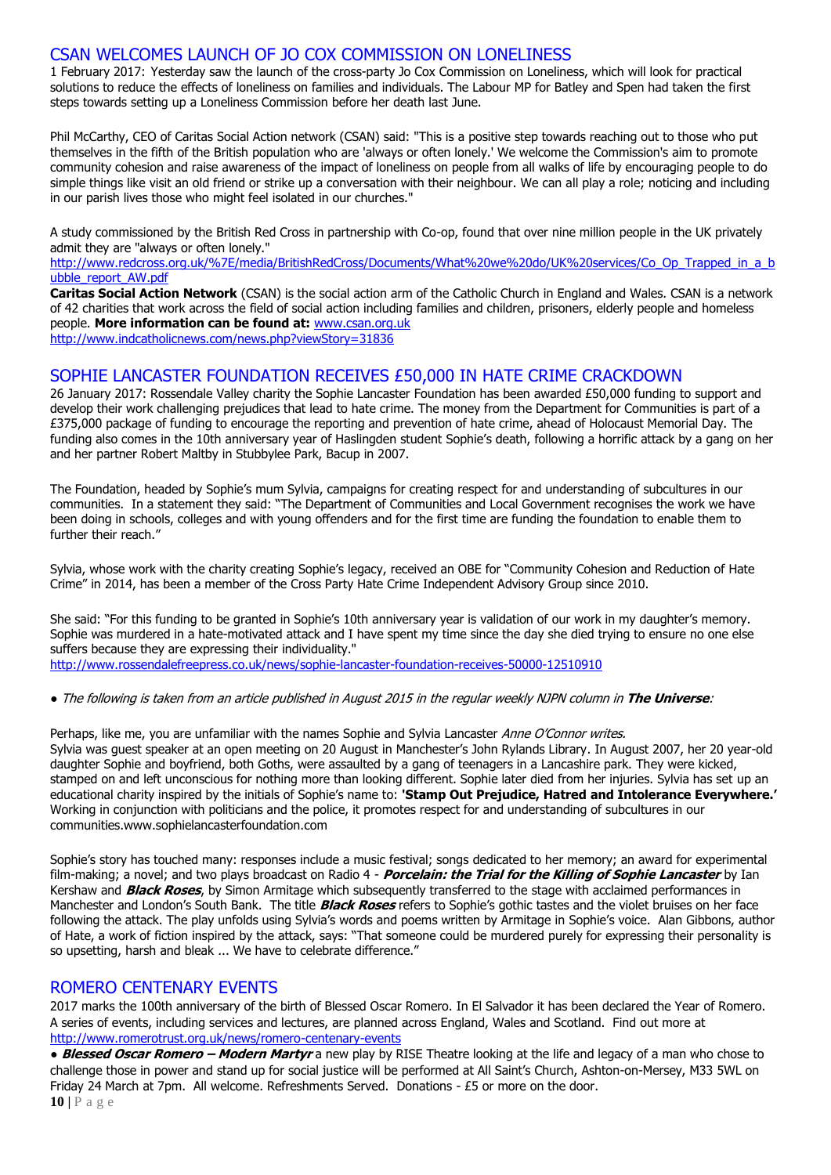### CSAN WELCOMES LAUNCH OF JO COX COMMISSION ON LONELINESS

1 February 2017: Yesterday saw the launch of the cross-party Jo Cox Commission on Loneliness, which will look for practical solutions to reduce the effects of loneliness on families and individuals. The Labour MP for Batley and Spen had taken the first steps towards setting up a Loneliness Commission before her death last June.

Phil McCarthy, CEO of Caritas Social Action network (CSAN) said: "This is a positive step towards reaching out to those who put themselves in the fifth of the British population who are 'always or often lonely.' We welcome the Commission's aim to promote community cohesion and raise awareness of the impact of loneliness on people from all walks of life by encouraging people to do simple things like visit an old friend or strike up a conversation with their neighbour. We can all play a role; noticing and including in our parish lives those who might feel isolated in our churches."

A study commissioned by the British Red Cross in partnership with Co-op, found that over nine million people in the UK privately admit they are "always or often lonely."

[http://www.redcross.org.uk/%7E/media/BritishRedCross/Documents/What%20we%20do/UK%20services/Co\\_Op\\_Trapped\\_in\\_a\\_b](http://www.redcross.org.uk/~/media/BritishRedCross/Documents/What%20we%20do/UK%20services/Co_Op_Trapped_in_a_bubble_report_AW.pdf) [ubble\\_report\\_AW.pdf](http://www.redcross.org.uk/~/media/BritishRedCross/Documents/What%20we%20do/UK%20services/Co_Op_Trapped_in_a_bubble_report_AW.pdf) 

**Caritas Social Action Network** (CSAN) is the social action arm of the Catholic Church in England and Wales. CSAN is a network of 42 charities that work across the field of social action including families and children, prisoners, elderly people and homeless people. **More information can be found at:** www.csan.org.uk http://www.indcatholicnews.com/news.php?viewStory=31836

# SOPHIE LANCASTER FOUNDATION RECEIVES £50,000 IN HATE CRIME CRACKDOWN

26 January 2017: Rossendale Valley charity the Sophie Lancaster Foundation has been awarded £50,000 funding to support and develop their work challenging prejudices that lead to hate crime. The money from the Department for Communities is part of a £375,000 package of funding to encourage the reporting and prevention of hate crime, ahead of Holocaust Memorial Day. The funding also comes in the 10th anniversary year of Haslingden student Sophie's death, following a horrific attack by a gang on her and her partner Robert Maltby in Stubbylee Park, Bacup in 2007.

The Foundation, headed by Sophie's mum Sylvia, campaigns for creating respect for and understanding of subcultures in our communities. In a statement they said: "The Department of Communities and Local Government recognises the work we have been doing in schools, colleges and with young offenders and for the first time are funding the foundation to enable them to further their reach."

Sylvia, whose work with the charity creating Sophie's legacy, received an OBE for "Community Cohesion and Reduction of Hate Crime" in 2014, has been a member of the Cross Party Hate Crime Independent Advisory Group since 2010.

She said: "For this funding to be granted in Sophie's 10th anniversary year is validation of our work in my daughter's memory. Sophie was murdered in a hate-motivated attack and I have spent my time since the day she died trying to ensure no one else suffers because they are expressing their individuality." <http://www.rossendalefreepress.co.uk/news/sophie-lancaster-foundation-receives-50000-12510910>

**●** The following is taken from an article published in August 2015 in the regular weekly NJPN column in **The Universe**:

Perhaps, like me, you are unfamiliar with the names Sophie and Sylvia Lancaster Anne O'Connor writes. Sylvia was guest speaker at an open meeting on 20 August in Manchester's John Rylands Library. In August 2007, her 20 year-old daughter Sophie and boyfriend, both Goths, were assaulted by a gang of teenagers in a Lancashire park. They were kicked, stamped on and left unconscious for nothing more than looking different. Sophie later died from her injuries. Sylvia has set up an educational charity inspired by the initials of Sophie's name to: **'Stamp Out Prejudice, Hatred and Intolerance Everywhere.'** Working in conjunction with politicians and the police, it promotes respect for and understanding of subcultures in our communities.www.sophielancasterfoundation.com

Sophie's story has touched many: responses include a music festival; songs dedicated to her memory; an award for experimental film-making; a novel; and two plays broadcast on Radio 4 - **Porcelain: the Trial for the Killing of Sophie Lancaster** by Ian Kershaw and **Black Roses**, by Simon Armitage which subsequently transferred to the stage with acclaimed performances in Manchester and London's South Bank. The title **Black Roses** refers to Sophie's gothic tastes and the violet bruises on her face following the attack. The play unfolds using Sylvia's words and poems written by Armitage in Sophie's voice. Alan Gibbons, author of Hate, a work of fiction inspired by the attack, says: "That someone could be murdered purely for expressing their personality is so upsetting, harsh and bleak ... We have to celebrate difference."

### ROMERO CENTENARY EVENTS

2017 marks the 100th anniversary of the birth of Blessed Oscar Romero. In El Salvador it has been declared the Year of Romero. A series of events, including services and lectures, are planned across England, Wales and Scotland. Find out more at <http://www.romerotrust.org.uk/news/romero-centenary-events>

**10 |** P a g e ● **Blessed Oscar Romero – Modern Martyr** a new play by RISE Theatre looking at the life and legacy of a man who chose to challenge those in power and stand up for social justice will be performed at All Saint's Church, Ashton-on-Mersey, M33 5WL on Friday 24 March at 7pm. All welcome. Refreshments Served. Donations - £5 or more on the door.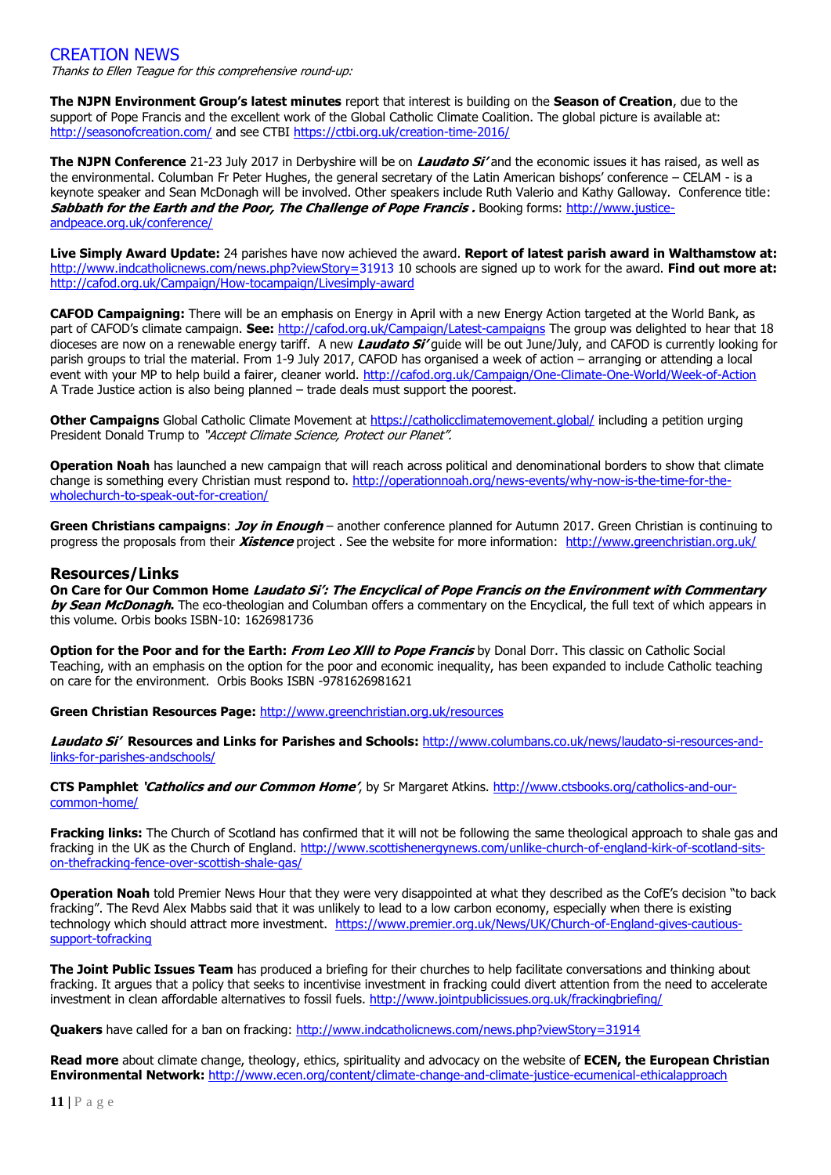#### CREATION NEWS

Thanks to Ellen Teague for this comprehensive round-up:

**The NJPN Environment Group's latest minutes** report that interest is building on the **Season of Creation**, due to the support of Pope Francis and the excellent work of the Global Catholic Climate Coalition. The global picture is available at: http://seasonofcreation.com/ and see CTBI https://ctbi.org.uk/creation-time-2016/

**The NJPN Conference** 21-23 July 2017 in Derbyshire will be on **Laudato Si'** and the economic issues it has raised, as well as the environmental. Columban Fr Peter Hughes, the general secretary of the Latin American bishops' conference – CELAM - is a keynote speaker and Sean McDonagh will be involved. Other speakers include Ruth Valerio and Kathy Galloway. Conference title: **Sabbath for the Earth and the Poor, The Challenge of Pope Francis .** Booking forms: http://www.justiceandpeace.org.uk/conference/

**Live Simply Award Update:** 24 parishes have now achieved the award. **Report of latest parish award in Walthamstow at:** <http://www.indcatholicnews.com/news.php?viewStory=31913> 10 schools are signed up to work for the award. **Find out more at:** http://cafod.org.uk/Campaign/How-tocampaign/Livesimply-award

**CAFOD Campaigning:** There will be an emphasis on Energy in April with a new Energy Action targeted at the World Bank, as part of CAFOD's climate campaign. **See:** http://cafod.org.uk/Campaign/Latest-campaigns The group was delighted to hear that 18 dioceses are now on a renewable energy tariff. A new **Laudato Si'** guide will be out June/July, and CAFOD is currently looking for parish groups to trial the material. From 1-9 July 2017, CAFOD has organised a week of action – arranging or attending a local event with your MP to help build a fairer, cleaner world. http://cafod.org.uk/Campaign/One-Climate-One-World/Week-of-Action A Trade Justice action is also being planned – trade deals must support the poorest.

**Other Campaigns** Global Catholic Climate Movement at https://catholicclimatemovement.global/ including a petition urging President Donald Trump to "Accept Climate Science, Protect our Planet".

**Operation Noah** has launched a new campaign that will reach across political and denominational borders to show that climate change is something every Christian must respond to. http://operationnoah.org/news-events/why-now-is-the-time-for-thewholechurch-to-speak-out-for-creation/

**Green Christians campaigns**: **Joy in Enough** – another conference planned for Autumn 2017. Green Christian is continuing to progress the proposals from their **Xistence** project . See the website for more information: http://www.greenchristian.org.uk/

#### **Resources/Links**

**On Care for Our Common Home Laudato Si': The Encyclical of Pope Francis on the Environment with Commentary by Sean McDonagh.** The eco-theologian and Columban offers a commentary on the Encyclical, the full text of which appears in this volume. Orbis books ISBN-10: 1626981736

**Option for the Poor and for the Earth: From Leo Xlll to Pope Francis** by Donal Dorr. This classic on Catholic Social Teaching, with an emphasis on the option for the poor and economic inequality, has been expanded to include Catholic teaching on care for the environment. Orbis Books ISBN -9781626981621

**Green Christian Resources Page:** http://www.greenchristian.org.uk/resources

**Laudato Si' Resources and Links for Parishes and Schools:** http://www.columbans.co.uk/news/laudato-si-resources-andlinks-for-parishes-andschools/

**CTS Pamphlet 'Catholics and our Common Home'**, by Sr Margaret Atkins. http://www.ctsbooks.org/catholics-and-ourcommon-home/

**Fracking links:** The Church of Scotland has confirmed that it will not be following the same theological approach to shale gas and fracking in the UK as the Church of England. http://www.scottishenergynews.com/unlike-church-of-england-kirk-of-scotland-sitson-thefracking-fence-over-scottish-shale-gas/

**Operation Noah** told Premier News Hour that they were very disappointed at what they described as the CofE's decision "to back fracking". The Revd Alex Mabbs said that it was unlikely to lead to a low carbon economy, especially when there is existing technology which should attract more investment. https://www.premier.org.uk/News/UK/Church-of-England-gives-cautioussupport-tofracking

**The Joint Public Issues Team** has produced a briefing for their churches to help facilitate conversations and thinking about fracking. It argues that a policy that seeks to incentivise investment in fracking could divert attention from the need to accelerate investment in clean affordable alternatives to fossil fuels. http://www.jointpublicissues.org.uk/frackingbriefing/

**Quakers** have called for a ban on fracking: http://www.indcatholicnews.com/news.php?viewStory=31914

**Read more** about climate change, theology, ethics, spirituality and advocacy on the website of **ECEN, the European Christian Environmental Network:** http://www.ecen.org/content/climate-change-and-climate-justice-ecumenical-ethicalapproach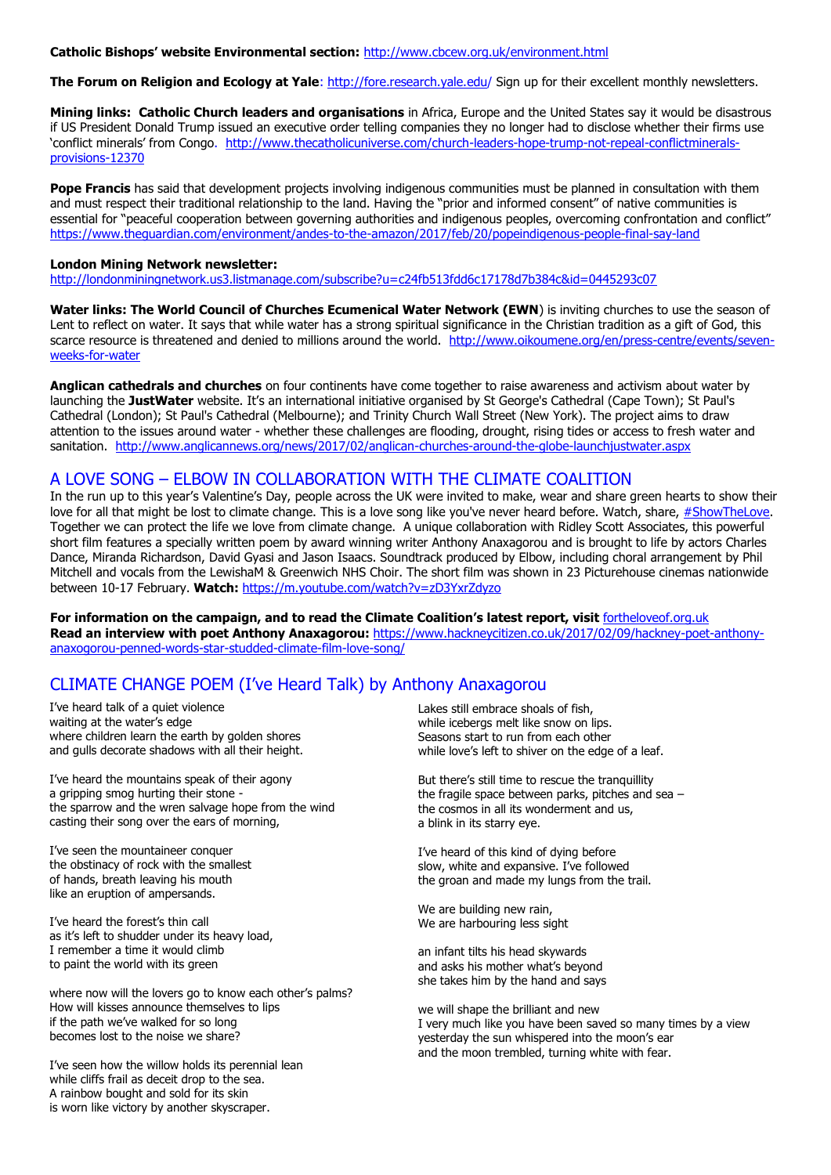**Catholic Bishops' website Environmental section:** http://www.cbcew.org.uk/environment.html

**The Forum on Religion and Ecology at Yale**: http://fore.research.yale.edu/ Sign up for their excellent monthly newsletters.

**Mining links: Catholic Church leaders and organisations** in Africa, Europe and the United States say it would be disastrous if US President Donald Trump issued an executive order telling companies they no longer had to disclose whether their firms use 'conflict minerals' from Congo. [http://www.thecatholicuniverse.com/church-leaders-hope-trump-not-repeal-conflictminerals](http://www.thecatholicuniverse.com/church-leaders-hope-trump-not-repeal-conflictminerals-provisions-12370)[provisions-12370](http://www.thecatholicuniverse.com/church-leaders-hope-trump-not-repeal-conflictminerals-provisions-12370)

**Pope Francis** has said that development projects involving indigenous communities must be planned in consultation with them and must respect their traditional relationship to the land. Having the "prior and informed consent" of native communities is essential for "peaceful cooperation between governing authorities and indigenous peoples, overcoming confrontation and conflict" https://www.theguardian.com/environment/andes-to-the-amazon/2017/feb/20/popeindigenous-people-final-say-land

#### **London Mining Network newsletter:**

http://londonminingnetwork.us3.listmanage.com/subscribe?u=c24fb513fdd6c17178d7b384c&id=0445293c07

**Water links: The World Council of Churches Ecumenical Water Network (EWN**) is inviting churches to use the season of Lent to reflect on water. It says that while water has a strong spiritual significance in the Christian tradition as a gift of God, this scarce resource is threatened and denied to millions around the world. http://www.oikoumene.org/en/press-centre/events/sevenweeks-for-water

**Anglican cathedrals and churches** on four continents have come together to raise awareness and activism about water by launching the **JustWater** website. It's an international initiative organised by St George's Cathedral (Cape Town); St Paul's Cathedral (London); St Paul's Cathedral (Melbourne); and Trinity Church Wall Street (New York). The project aims to draw attention to the issues around water - whether these challenges are flooding, drought, rising tides or access to fresh water and sanitation. http://www.anglicannews.org/news/2017/02/anglican-churches-around-the-globe-launchjustwater.aspx

#### A LOVE SONG – ELBOW IN COLLABORATION WITH THE CLIMATE COALITION

In the run up to this year's Valentine's Day, people across the UK were invited to make, wear and share green hearts to show their love for all that might be lost to climate change. This is a love song like you've never heard before. Watch, share, [#ShowTheLove.](https://www.youtube.com/results?q=%23ShowTheLove) Together we can protect the life we love from climate change. A unique collaboration with Ridley Scott Associates, this powerful short film features a specially written poem by award winning writer Anthony Anaxagorou and is brought to life by actors Charles Dance, Miranda Richardson, David Gyasi and Jason Isaacs. Soundtrack produced by Elbow, including choral arrangement by Phil Mitchell and vocals from the LewishaM & Greenwich NHS Choir. The short film was shown in 23 Picturehouse cinemas nationwide between 10-17 February. **Watch:** <https://m.youtube.com/watch?v=zD3YxrZdyzo>

**For information on the campaign, and to read the Climate Coalition's latest report, visit** fortheloveof.org.uk **Read an interview with poet Anthony Anaxagorou:** [https://www.hackneycitizen.co.uk/2017/02/09/hackney-poet-anthony](https://www.hackneycitizen.co.uk/2017/02/09/hackney-poet-anthony-anaxogorou-penned-words-star-studded-climate-film-love-song/)[anaxogorou-penned-words-star-studded-climate-film-love-song/](https://www.hackneycitizen.co.uk/2017/02/09/hackney-poet-anthony-anaxogorou-penned-words-star-studded-climate-film-love-song/)

# CLIMATE CHANGE POEM (I've Heard Talk) by Anthony Anaxagorou

I've heard talk of a quiet violence waiting at the water's edge where children learn the earth by golden shores and gulls decorate shadows with all their height.

I've heard the mountains speak of their agony a gripping smog hurting their stone the sparrow and the wren salvage hope from the wind casting their song over the ears of morning,

I've seen the mountaineer conquer the obstinacy of rock with the smallest of hands, breath leaving his mouth like an eruption of ampersands.

I've heard the forest's thin call as it's left to shudder under its heavy load, I remember a time it would climb to paint the world with its green

where now will the lovers go to know each other's palms? How will kisses announce themselves to lips if the path we've walked for so long becomes lost to the noise we share?

A rambow bought and sold for its skin<br>is worn like victory by another skyscraper. I've seen how the willow holds its perennial lean while cliffs frail as deceit drop to the sea. A rainbow bought and sold for its skin

Lakes still embrace shoals of fish, while icebergs melt like snow on lips. Seasons start to run from each other while love's left to shiver on the edge of a leaf.

But there's still time to rescue the tranquillity the fragile space between parks, pitches and sea – the cosmos in all its wonderment and us, a blink in its starry eye.

I've heard of this kind of dying before slow, white and expansive. I've followed the groan and made my lungs from the trail.

We are building new rain, We are harbouring less sight

an infant tilts his head skywards and asks his mother what's beyond she takes him by the hand and says

we will shape the brilliant and new I very much like you have been saved so many times by a view yesterday the sun whispered into the moon's ear and the moon trembled, turning white with fear.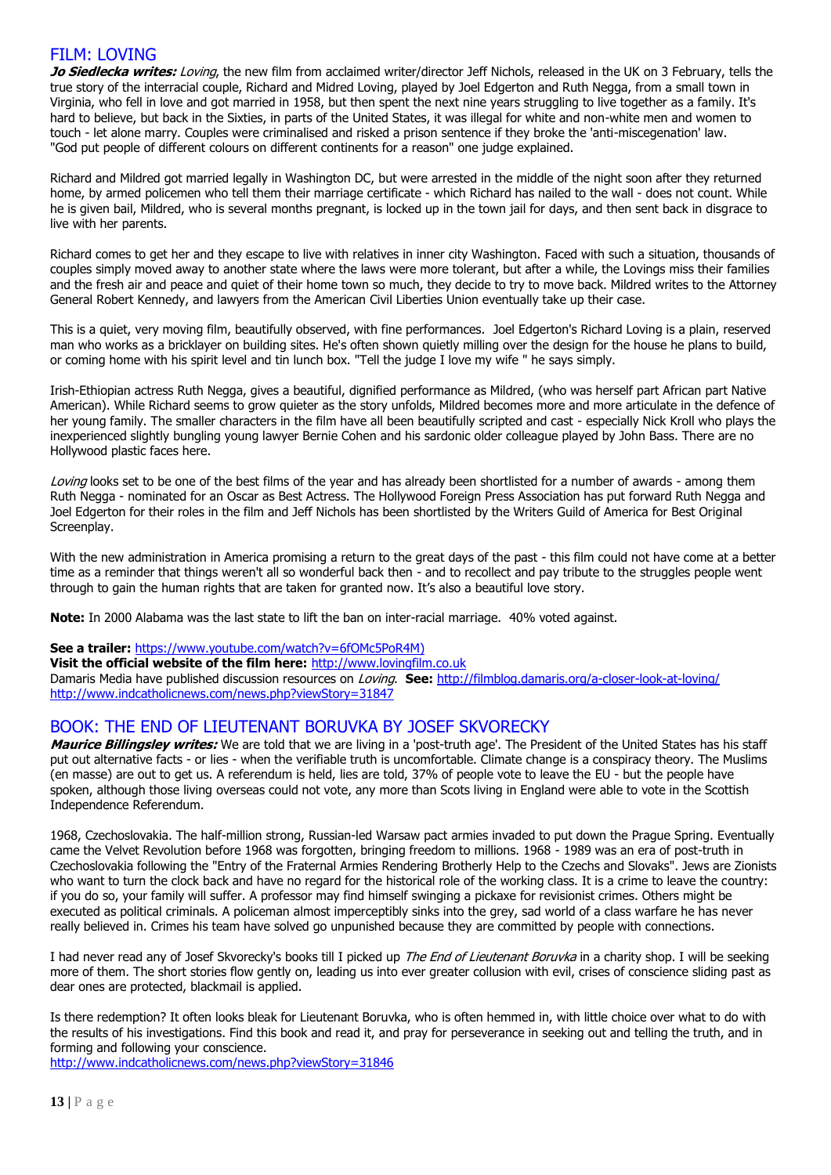# FILM: LOVING

**Jo Siedlecka writes:** Loving, the new film from acclaimed writer/director Jeff Nichols, released in the UK on 3 February, tells the true story of the interracial couple, Richard and Midred Loving, played by Joel Edgerton and Ruth Negga, from a small town in Virginia, who fell in love and got married in 1958, but then spent the next nine years struggling to live together as a family. It's hard to believe, but back in the Sixties, in parts of the United States, it was illegal for white and non-white men and women to touch - let alone marry. Couples were criminalised and risked a prison sentence if they broke the 'anti-miscegenation' law. "God put people of different colours on different continents for a reason" one judge explained.

Richard and Mildred got married legally in Washington DC, but were arrested in the middle of the night soon after they returned home, by armed policemen who tell them their marriage certificate - which Richard has nailed to the wall - does not count. While he is given bail, Mildred, who is several months pregnant, is locked up in the town jail for days, and then sent back in disgrace to live with her parents.

Richard comes to get her and they escape to live with relatives in inner city Washington. Faced with such a situation, thousands of couples simply moved away to another state where the laws were more tolerant, but after a while, the Lovings miss their families and the fresh air and peace and quiet of their home town so much, they decide to try to move back. Mildred writes to the Attorney General Robert Kennedy, and lawyers from the American Civil Liberties Union eventually take up their case.

This is a quiet, very moving film, beautifully observed, with fine performances. Joel Edgerton's Richard Loving is a plain, reserved man who works as a bricklayer on building sites. He's often shown quietly milling over the design for the house he plans to build, or coming home with his spirit level and tin lunch box. "Tell the judge I love my wife " he says simply.

Irish-Ethiopian actress Ruth Negga, gives a beautiful, dignified performance as Mildred, (who was herself part African part Native American). While Richard seems to grow quieter as the story unfolds, Mildred becomes more and more articulate in the defence of her young family. The smaller characters in the film have all been beautifully scripted and cast - especially Nick Kroll who plays the inexperienced slightly bungling young lawyer Bernie Cohen and his sardonic older colleague played by John Bass. There are no Hollywood plastic faces here.

Loving looks set to be one of the best films of the year and has already been shortlisted for a number of awards - among them Ruth Negga - nominated for an Oscar as Best Actress. The Hollywood Foreign Press Association has put forward Ruth Negga and Joel Edgerton for their roles in the film and Jeff Nichols has been shortlisted by the Writers Guild of America for Best Original Screenplay.

With the new administration in America promising a return to the great days of the past - this film could not have come at a better time as a reminder that things weren't all so wonderful back then - and to recollect and pay tribute to the struggles people went through to gain the human rights that are taken for granted now. It's also a beautiful love story.

**Note:** In 2000 Alabama was the last state to lift the ban on inter-racial marriage. 40% voted against.

#### **See a trailer:** https://www.youtube.com/watch?v=6fOMc5PoR4M)

**Visit the official website of the film here:** http://www.lovingfilm.co.uk Damaris Media have published discussion resources on Loving. **See:** http://filmblog.damaris.org/a-closer-look-at-loving/ <http://www.indcatholicnews.com/news.php?viewStory=31847>

### BOOK: THE END OF LIEUTENANT BORUVKA BY JOSEF SKVORECKY

**Maurice Billingsley writes:** We are told that we are living in a 'post-truth age'. The President of the United States has his staff put out alternative facts - or lies - when the verifiable truth is uncomfortable. Climate change is a conspiracy theory. The Muslims (en masse) are out to get us. A referendum is held, lies are told, 37% of people vote to leave the EU - but the people have spoken, although those living overseas could not vote, any more than Scots living in England were able to vote in the Scottish Independence Referendum.

1968, Czechoslovakia. The half-million strong, Russian-led Warsaw pact armies invaded to put down the Prague Spring. Eventually came the Velvet Revolution before 1968 was forgotten, bringing freedom to millions. 1968 - 1989 was an era of post-truth in Czechoslovakia following the "Entry of the Fraternal Armies Rendering Brotherly Help to the Czechs and Slovaks". Jews are Zionists who want to turn the clock back and have no regard for the historical role of the working class. It is a crime to leave the country: if you do so, your family will suffer. A professor may find himself swinging a pickaxe for revisionist crimes. Others might be executed as political criminals. A policeman almost imperceptibly sinks into the grey, sad world of a class warfare he has never really believed in. Crimes his team have solved go unpunished because they are committed by people with connections.

I had never read any of Josef Skvorecky's books till I picked up *The End of Lieutenant Boruvka* in a charity shop. I will be seeking more of them. The short stories flow gently on, leading us into ever greater collusion with evil, crises of conscience sliding past as dear ones are protected, blackmail is applied.

Is there redemption? It often looks bleak for Lieutenant Boruvka, who is often hemmed in, with little choice over what to do with the results of his investigations. Find this book and read it, and pray for perseverance in seeking out and telling the truth, and in forming and following your conscience.

http://www.indcatholicnews.com/news.php?viewStory=31846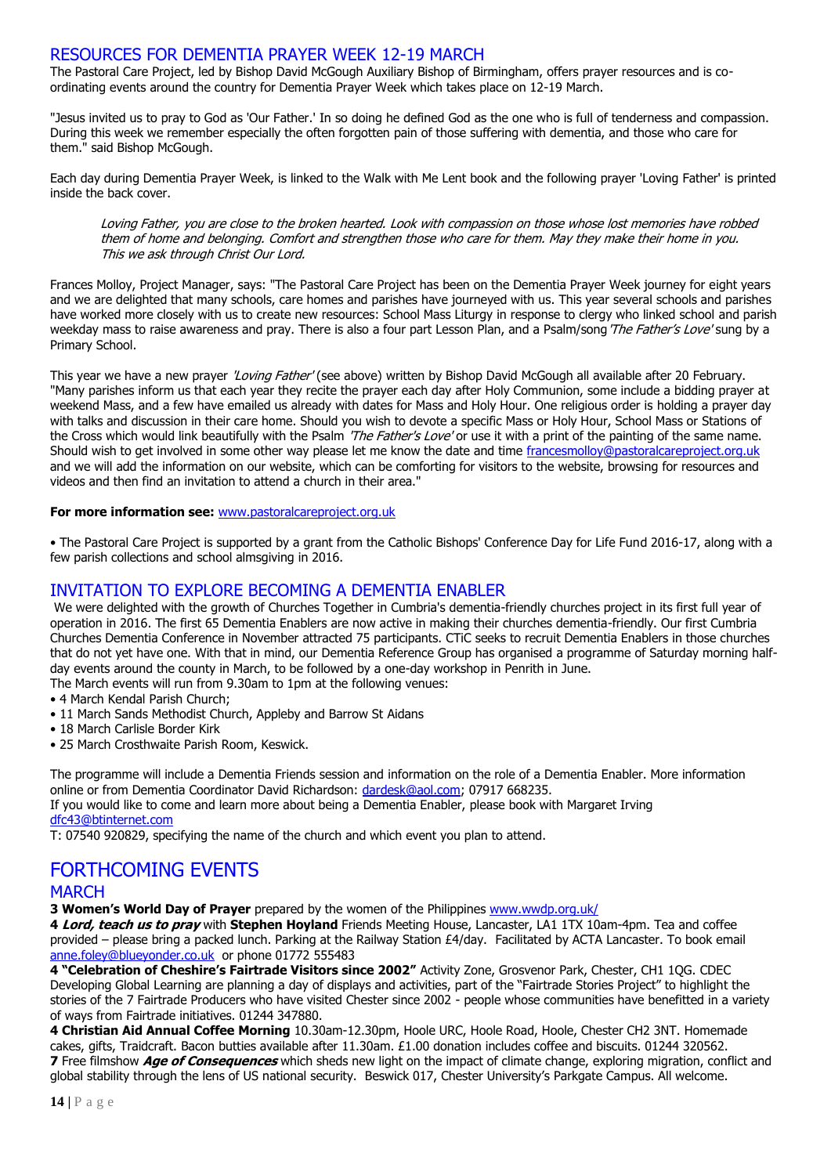### RESOURCES FOR DEMENTIA PRAYER WEEK 12-19 MARCH

The Pastoral Care Project, led by Bishop David McGough Auxiliary Bishop of Birmingham, offers prayer resources and is coordinating events around the country for Dementia Prayer Week which takes place on 12-19 March.

"Jesus invited us to pray to God as 'Our Father.' In so doing he defined God as the one who is full of tenderness and compassion. During this week we remember especially the often forgotten pain of those suffering with dementia, and those who care for them." said Bishop McGough.

Each day during Dementia Prayer Week, is linked to the Walk with Me Lent book and the following prayer 'Loving Father' is printed inside the back cover.

Loving Father, you are close to the broken hearted. Look with compassion on those whose lost memories have robbed them of home and belonging. Comfort and strengthen those who care for them. May they make their home in you. This we ask through Christ Our Lord.

Frances Molloy, Project Manager, says: "The Pastoral Care Project has been on the Dementia Prayer Week journey for eight years and we are delighted that many schools, care homes and parishes have journeyed with us. This year several schools and parishes have worked more closely with us to create new resources: School Mass Liturgy in response to clergy who linked school and parish weekday mass to raise awareness and pray. There is also a four part Lesson Plan, and a Psalm/song 'The Father's Love' sung by a Primary School.

This year we have a new prayer 'Loving Father' (see above) written by Bishop David McGough all available after 20 February. "Many parishes inform us that each year they recite the prayer each day after Holy Communion, some include a bidding prayer at weekend Mass, and a few have emailed us already with dates for Mass and Holy Hour. One religious order is holding a prayer day with talks and discussion in their care home. Should you wish to devote a specific Mass or Holy Hour, School Mass or Stations of the Cross which would link beautifully with the Psalm 'The Father's Love' or use it with a print of the painting of the same name. Should wish to get involved in some other way please let me know the date and time francesmolloy@pastoralcareproject.org.uk and we will add the information on our website, which can be comforting for visitors to the website, browsing for resources and videos and then find an invitation to attend a church in their area."

#### **For more information see:** www.pastoralcareproject.org.uk

• The Pastoral Care Project is supported by a grant from the Catholic Bishops' Conference Day for Life Fund 2016-17, along with a few parish collections and school almsgiving in 2016.

#### INVITATION TO EXPLORE BECOMING A DEMENTIA ENABLER

We were delighted with the growth of Churches Together in Cumbria's dementia-friendly churches project in its first full year of operation in 2016. The first 65 Dementia Enablers are now active in making their churches dementia-friendly. Our first Cumbria Churches Dementia Conference in November attracted 75 participants. CTiC seeks to recruit Dementia Enablers in those churches that do not yet have one. With that in mind, our Dementia Reference Group has organised a programme of Saturday morning halfday events around the county in March, to be followed by a one-day workshop in Penrith in June.

The March events will run from 9.30am to 1pm at the following venues:

- 4 March Kendal Parish Church;
- 11 March Sands Methodist Church, Appleby and Barrow St Aidans
- 18 March Carlisle Border Kirk
- 25 March Crosthwaite Parish Room, Keswick.

The programme will include a Dementia Friends session and information on the role of a Dementia Enabler. More information online or from Dementia Coordinator David Richardson: dardesk@aol.com; 07917 668235.

If you would like to come and learn more about being a Dementia Enabler, please book with Margaret Irving dfc43@btinternet.com

T: 07540 920829, specifying the name of the church and which event you plan to attend.

# FORTHCOMING EVENTS

#### **MARCH**

**3 Women's World Day of Prayer** prepared by the women of the Philippines [www.wwdp.org.uk/](http://www.wwdp.org.uk/)

**4 Lord, teach us to pray** with **Stephen Hoyland** Friends Meeting House, Lancaster, LA1 1TX 10am-4pm. Tea and coffee provided – please bring a packed lunch. Parking at the Railway Station £4/day. Facilitated by ACTA Lancaster. To book email [anne.foley@blueyonder.co.uk](mailto:anne.foley@blueyonder.co.uk) or phone 01772 555483

**4 "Celebration of Cheshire's Fairtrade Visitors since 2002"** Activity Zone, Grosvenor Park, Chester, CH1 1QG. CDEC Developing Global Learning are planning a day of displays and activities, part of the "Fairtrade Stories Project" to highlight the stories of the 7 Fairtrade Producers who have visited Chester since 2002 - people whose communities have benefitted in a variety of ways from Fairtrade initiatives. 01244 347880.

**4 Christian Aid Annual Coffee Morning** 10.30am-12.30pm, Hoole URC, Hoole Road, Hoole, Chester CH2 3NT. Homemade cakes, gifts, Traidcraft. Bacon butties available after 11.30am. £1.00 donation includes coffee and biscuits. 01244 320562. **7** Free filmshow **Age of Consequences** which sheds new light on the impact of climate change, exploring migration, conflict and global stability through the lens of US national security. Beswick 017, Chester University's Parkgate Campus. All welcome.